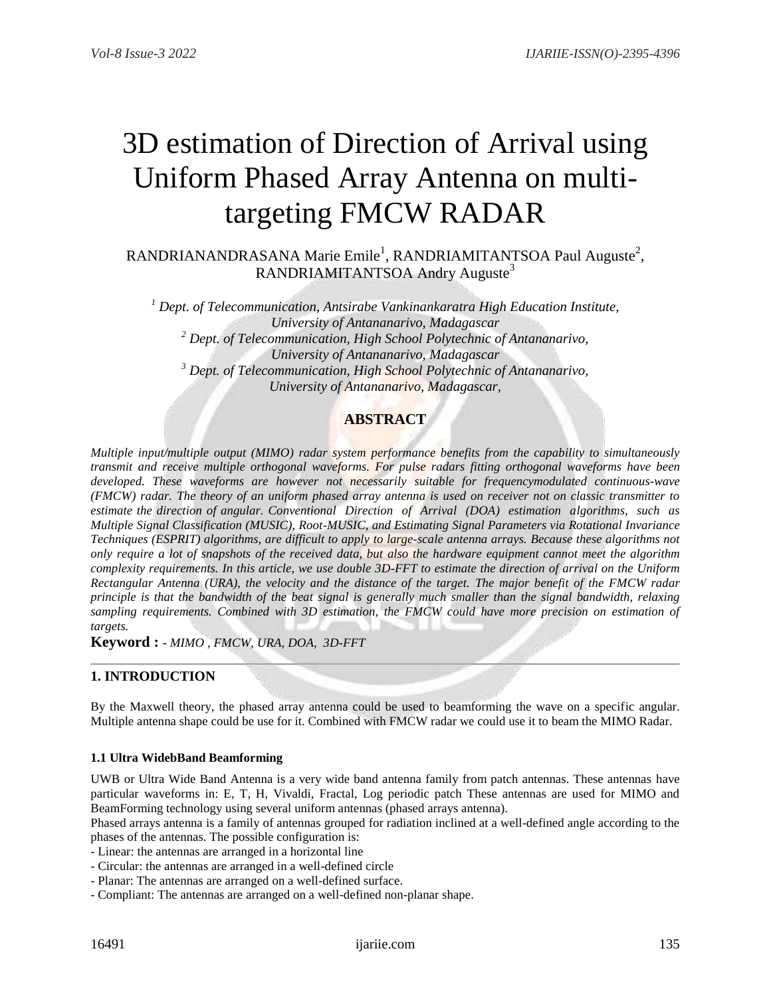# 3D estimation of Direction of Arrival using Uniform Phased Array Antenna on multitargeting FMCW RADAR

 $RANDRIANANDRASANA$  Marie Emile<sup>1</sup>,  $RANDRIAMITANTSOA$  Paul Auguste<sup>2</sup>, RANDRIAMITANTSOA Andry Auguste<sup>3</sup>

*<sup>1</sup> Dept. of Telecommunication, Antsirabe Vankinankaratra High Education Institute, University of Antananarivo, Madagascar <sup>2</sup> Dept. of Telecommunication, High School Polytechnic of Antananarivo, University of Antananarivo, Madagascar <sup>3</sup> Dept. of Telecommunication, High School Polytechnic of Antananarivo, University of Antananarivo, Madagascar,*

# **ABSTRACT**

*Multiple input/multiple output (MIMO) radar system performance benefits from the capability to simultaneously transmit and receive multiple orthogonal waveforms. For pulse radars fitting orthogonal waveforms have been developed. These waveforms are however not necessarily suitable for frequencymodulated continuous-wave (FMCW) radar. The theory of an uniform phased array antenna is used on receiver not on classic transmitter to estimate the direction of angular. Conventional Direction of Arrival (DOA) estimation algorithms, such as Multiple Signal Classification (MUSIC), Root-MUSIC, and Estimating Signal Parameters via Rotational Invariance Techniques (ESPRIT) algorithms, are difficult to apply to large-scale antenna arrays. Because these algorithms not only require a lot of snapshots of the received data, but also the hardware equipment cannot meet the algorithm complexity requirements. In this article, we use double 3D-FFT to estimate the direction of arrival on the Uniform Rectangular Antenna (URA), the velocity and the distance of the target. The major benefit of the FMCW radar principle is that the bandwidth of the beat signal is generally much smaller than the signal bandwidth, relaxing sampling requirements. Combined with 3D estimation, the FMCW could have more precision on estimation of targets.*

**Keyword : -** *MIMO , FMCW, URA, DOA, 3D-FFT*

## **1. INTRODUCTION**

By the Maxwell theory, the phased array antenna could be used to beamforming the wave on a specific angular. Multiple antenna shape could be use for it. Combined with FMCW radar we could use it to beam the MIMO Radar.

#### **1.1 Ultra WidebBand Beamforming**

UWB or Ultra Wide Band Antenna is a very wide band antenna family from patch antennas. These antennas have particular waveforms in: E, T, H, Vivaldi, Fractal, Log periodic patch These antennas are used for MIMO and BeamForming technology using several uniform antennas (phased arrays antenna).

Phased arrays antenna is a family of antennas grouped for radiation inclined at a well-defined angle according to the phases of the antennas. The possible configuration is:

- Linear: the antennas are arranged in a horizontal line
- Circular: the antennas are arranged in a well-defined circle
- Planar: The antennas are arranged on a well-defined surface.
- Compliant: The antennas are arranged on a well-defined non-planar shape.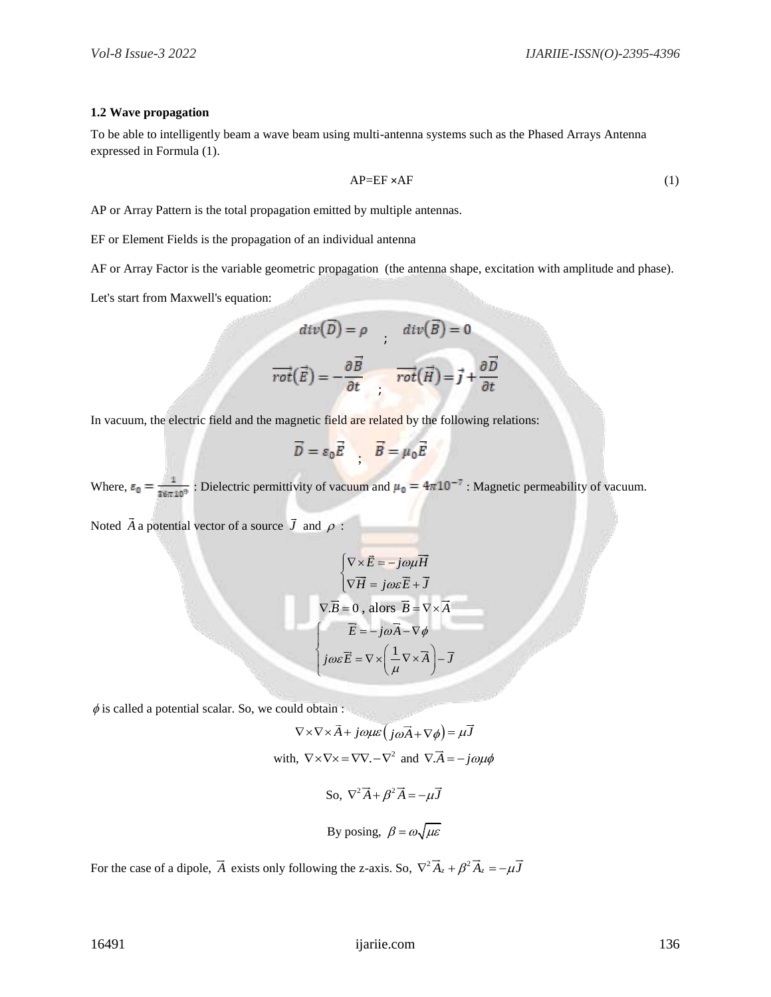#### **1.2 Wave propagation**

To be able to intelligently beam a wave beam using multi-antenna systems such as the Phased Arrays Antenna expressed in Formula (1).

$$
AP = EF \times AF \tag{1}
$$

AP or Array Pattern is the total propagation emitted by multiple antennas.

EF or Element Fields is the propagation of an individual antenna

AF or Array Factor is the variable geometric propagation (the antenna shape, excitation with amplitude and phase).

Let's start from Maxwell's equation:

$$
div(\overline{D}) = \rho \qquad div(\overline{B}) = 0
$$

$$
\overrightarrow{rot}(\overrightarrow{E}) = -\frac{\partial \overrightarrow{B}}{\partial t} \qquad \overrightarrow{rot}(\overrightarrow{H}) = \overrightarrow{j} + \frac{\partial \overrightarrow{D}}{\partial t}
$$

In vacuum, the electric field and the magnetic field are related by the following relations:

$$
\vec{D} = \varepsilon_0 \vec{E} \quad , \quad \vec{B} = \mu_0 \vec{E}
$$

Where,  $\varepsilon_0 = \frac{1}{36\pi 10^9}$ : Dielectric permittivity of vacuum and  $\mu_0 = 4\pi 10^{-7}$ : Magnetic permeability of vacuum.

Noted  $\overline{A}$  a potential vector of a source  $\overline{J}$  and  $\rho$ :

$$
\begin{cases}\n\nabla \times \vec{E} = -j\omega\mu \vec{H} \\
\nabla \vec{H} = j\omega \varepsilon \vec{E} + \vec{J}\n\end{cases}
$$
\n
$$
\nabla \cdot \vec{B} = 0, \text{ alors } \vec{B} = \nabla \times \vec{A}
$$
\n
$$
\begin{cases}\n\vec{E} = -j\omega \vec{A} - \nabla \phi \\
j\omega \varepsilon \vec{E} = \nabla \times \left(\frac{1}{\mu} \nabla \times \vec{A}\right) - \vec{J}\n\end{cases}
$$

 $\phi$  is called a potential scalar. So, we could obtain :

$$
\nabla \times \nabla \times \vec{A} + j\omega \mu \varepsilon (j\omega \vec{A} + \nabla \phi) = \mu \vec{J}
$$
  
with,  $\nabla \times \nabla \times = \nabla \nabla \cdot - \nabla^2$  and  $\nabla \cdot \vec{A} = -j\omega \mu \phi$   
So,  $\nabla^2 \vec{A} + \beta^2 \vec{A} = -\mu \vec{J}$   
By posing,  $\beta = \omega \sqrt{\mu \varepsilon}$ 

For the case of a dipole,  $\vec{A}$  exists only following the z-axis. So,  $\nabla^2 \vec{A}_z + \beta^2 \vec{A}_z = -\mu \vec{J}$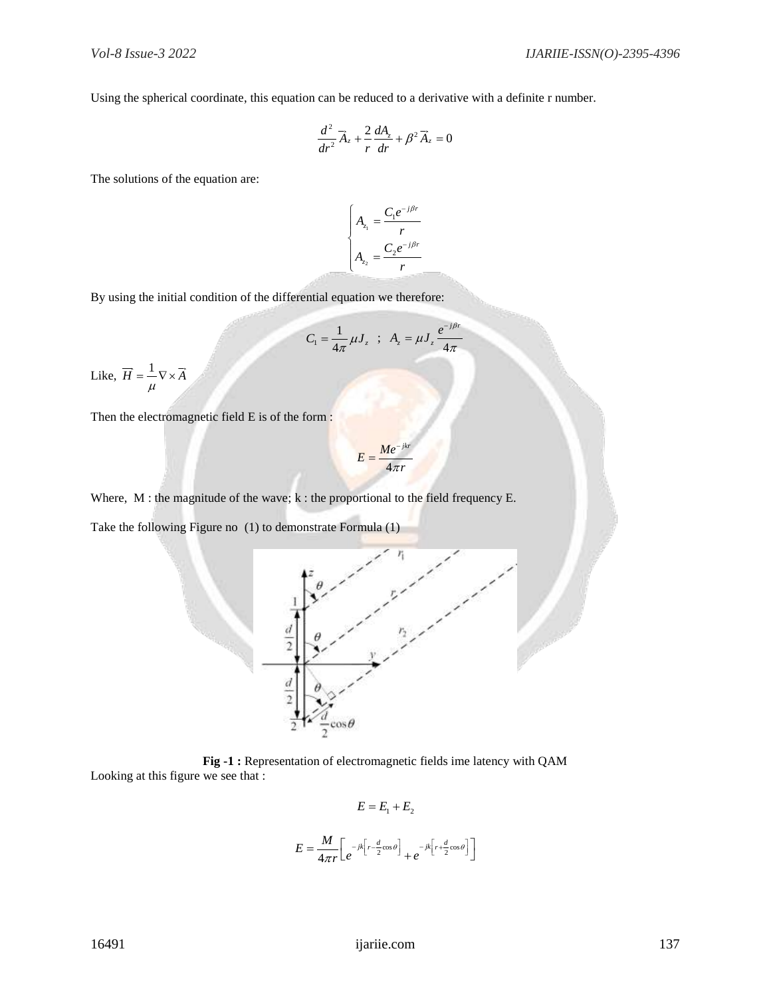Using the spherical coordinate, this equation can be reduced to a derivative with a definite r number.

$$
\frac{d^2}{dr^2}\vec{A}_z + \frac{2}{r}\frac{dA_z}{dr} + \beta^2 \vec{A}_z = 0
$$

The solutions of the equation are:

$$
\begin{cases}\nA_{z_1} = \frac{C_1 e^{-j\beta r}}{r} \\
A_{z_2} = \frac{C_2 e^{-j\beta r}}{r}\n\end{cases}
$$

By using the initial condition of the differential equation we therefore:

$$
C_1 = \frac{1}{4\pi} \mu J_z \quad ; \quad A_z = \mu J_z \frac{e^{-j\beta r}}{4\pi}
$$

Like,  $\overrightarrow{H} = \frac{1}{\sqrt{N}} \times \overrightarrow{A}$ μ  $=$   $-\nabla \times$ 

Then the electromagnetic field E is of the form :

$$
E = \frac{Me^{-jkr}}{4\pi r}
$$

Where, M : the magnitude of the wave; k : the proportional to the field frequency E.

Take the following Figure no (1) to demonstrate Formula (1)



**Fig -1 :** Representation of electromagnetic fields ime latency with QAM Looking at this figure we see that :

$$
E = E_1 + E_2
$$

$$
E = \frac{M}{4\pi r} \left[ e^{-jk \left[ r - \frac{d}{2} \cos \theta \right]} + e^{-jk \left[ r + \frac{d}{2} \cos \theta \right]} \right]
$$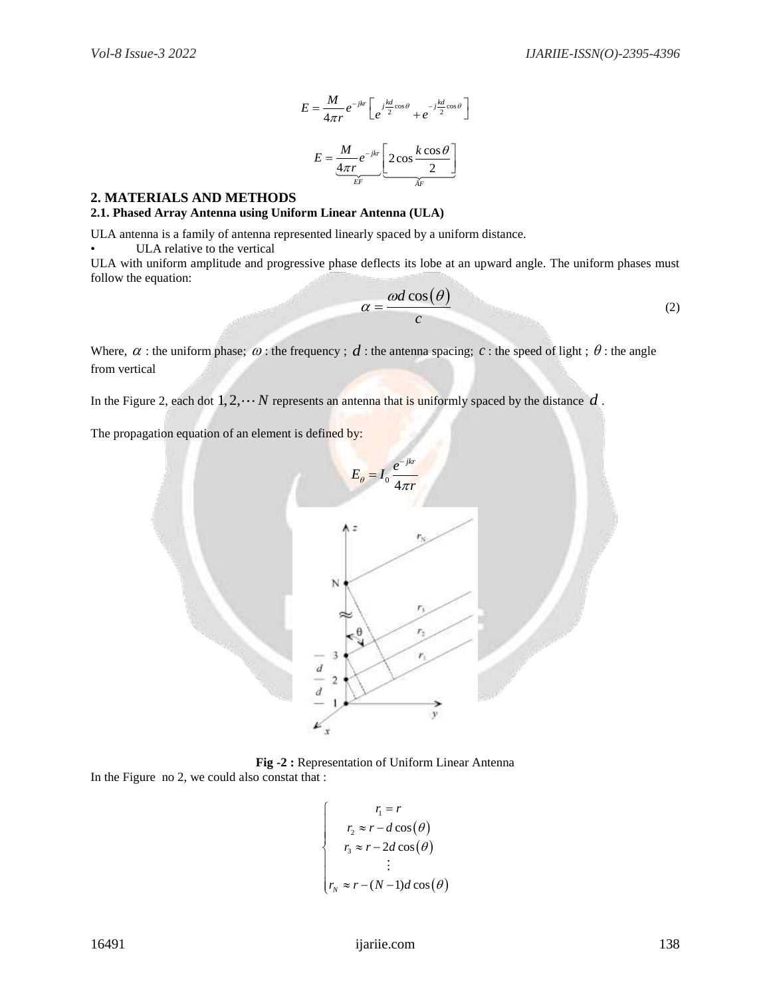$$
E = \frac{M}{4\pi r} e^{-jkr} \left[ e^{j\frac{kd}{2}\cos\theta} + e^{-j\frac{kd}{2}\cos\theta} \right]
$$

$$
E = \frac{M}{\frac{4\pi r}{\epsilon}} e^{-jkr} \left[ 2\cos\frac{k\cos\theta}{2} \right]
$$

#### **2. MATERIALS AND METHODS**

#### **2.1. Phased Array Antenna using Uniform Linear Antenna (ULA)**

ULA antenna is a family of antenna represented linearly spaced by a uniform distance.

ULA relative to the vertical

ULA with uniform amplitude and progressive phase deflects its lobe at an upward angle. The uniform phases must follow the equation:

$$
\alpha = \frac{\omega d \cos(\theta)}{c} \tag{2}
$$

Where,  $\alpha$ : the uniform phase;  $\omega$ : the frequency;  $d$ : the antenna spacing;  $c$ : the speed of light;  $\theta$ : the angle from vertical

In the Figure 2, each dot  $1, 2, \cdots N$  represents an antenna that is uniformly spaced by the distance  $d$ .

The propagation equation of an element is defined by:



**Fig -2 :** Representation of Uniform Linear Antenna

In the Figure no 2, we could also constat that :

$$
\begin{cases}\nr_1 = r \\
r_2 \approx r - d \cos(\theta) \\
r_3 \approx r - 2d \cos(\theta) \\
\vdots \\
r_N \approx r - (N - 1)d \cos(\theta)\n\end{cases}
$$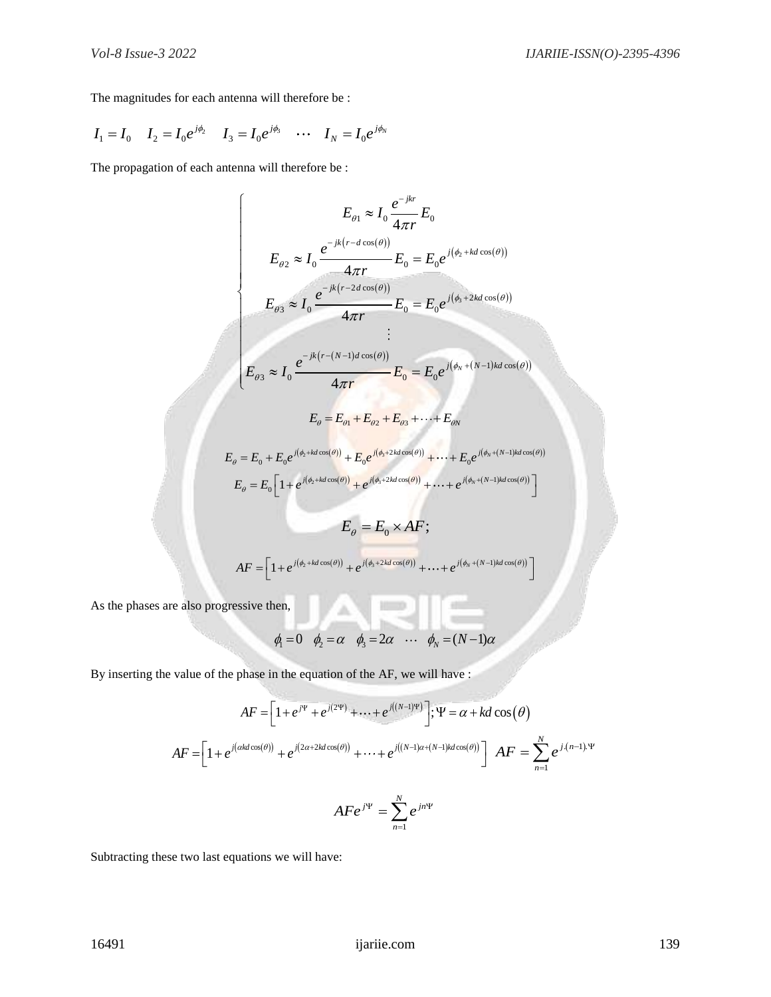The magnitudes for each antenna will therefore be :

$$
I_1 = I_0 \t I_2 = I_0 e^{j\phi_2} \t I_3 = I_0 e^{j\phi_3} \t ... \t I_N = I_0 e^{j\phi_N}
$$

The propagation of each antenna will therefore be :

$$
E_{\theta1} \approx I_0 \frac{e^{-jkr}}{4\pi r} E_0
$$
  
\n
$$
E_{\theta2} \approx I_0 \frac{e^{-jk(r - d\cos(\theta))}}{4\pi r} E_0 = E_0 e^{j(\phi_2 + kd\cos(\theta))}
$$
  
\n
$$
E_{\theta3} \approx I_0 \frac{e^{-jk(r - 2d\cos(\theta))}}{4\pi r} E_0 = E_0 e^{j(\phi_3 + 2kd\cos(\theta))}
$$
  
\n
$$
E_{\theta3} \approx I_0 \frac{e^{-jk(r - (N-1)d\cos(\theta))}}{4\pi r} E_0 = E_0 e^{j(\phi_N + (N-1)kd\cos(\theta))}
$$
  
\n
$$
E_{\theta} = E_{\theta1} + E_{\theta2} + E_{\theta3} + \dots + E_{\theta N}
$$
  
\n
$$
E_{\theta} = E_0 + E_0 e^{j(\phi_2 + kd\cos(\theta))} + E_0 e^{j(\phi_2 + 2kd\cos(\theta))} + \dots + E_0 e^{j(\phi_N + (N-1)kd\cos(\theta))}
$$
  
\n
$$
E_{\theta} = E_0 \left[1 + e^{j(\phi_2 + kd\cos(\theta))} + e^{j(\phi_2 + 2kd\cos(\theta))} + \dots + e^{j(\phi_N + (N-1)kd\cos(\theta))}\right]
$$
  
\n
$$
E_{\theta} = E_0 \times AF;
$$
  
\n
$$
AF = \left[1 + e^{j(\phi_2 + kd\cos(\theta))} + e^{j(\phi_2 + 2kd\cos(\theta))} + \dots + e^{j(\phi_N + (N-1)kd\cos(\theta))}\right]
$$

As the phases are also progressive then,

$$
\phi_1 = 0
$$
  $\phi_2 = \alpha$   $\phi_3 = 2\alpha$   $\cdots$   $\phi_N = (N-1)\alpha$ 

By inserting the value of the phase in the equation of the AF, we will have :

$$
AF = \left[1 + e^{j\Psi} + e^{j(2\Psi)} + \dots + e^{j((N-1)\Psi)}\right]; \Psi = \alpha + kd \cos(\theta)
$$
  

$$
AF = \left[1 + e^{j(\alpha kd \cos(\theta))} + e^{j(2\alpha + 2kd \cos(\theta))} + \dots + e^{j((N-1)\alpha + (N-1)kd \cos(\theta))}\right] \quad AF = \sum_{n=1}^{N} e^{j(n-1)\Psi}
$$
  

$$
AF e^{j\Psi} = \sum_{n=1}^{N} e^{jn\Psi}
$$

 $n=1$ 

Subtracting these two last equations we will have: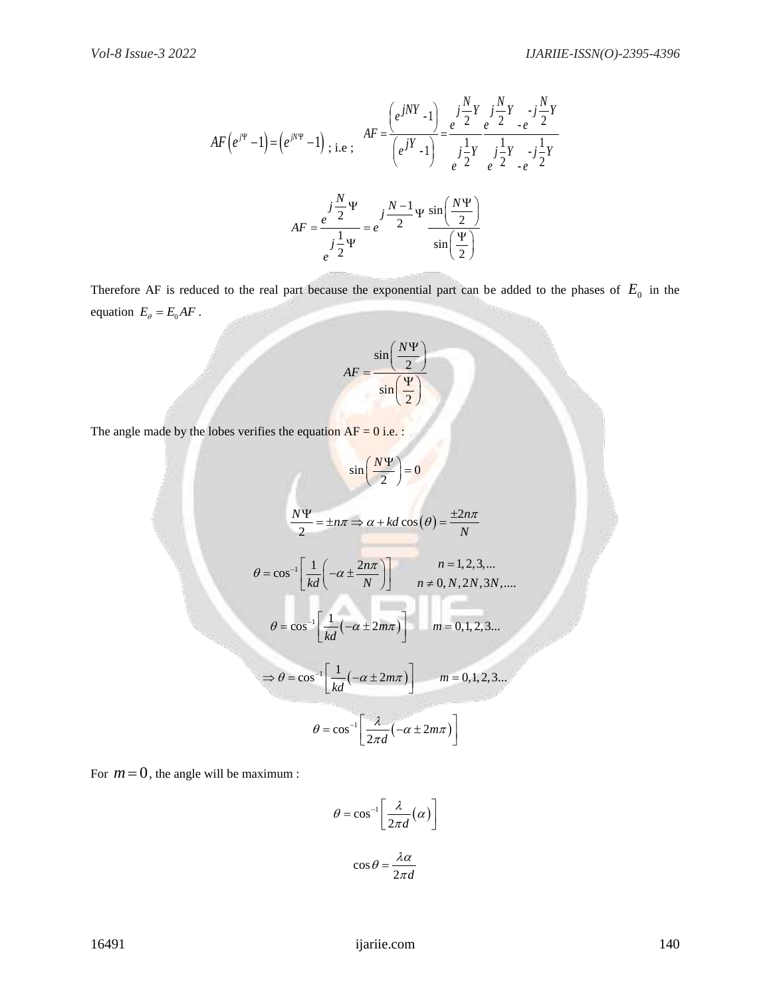$$
AF(e^{j\Psi} - 1) = (e^{jN\Psi} - 1) , i.e., \quad AF = \frac{(e^{jNY} - 1)}{(e^{jY} - 1)} = \frac{e^{j\frac{N}{2}Y}}{e^{j\frac{1}{2}Y}} = \frac{j\frac{N}{2}Y}{e^{j\frac{1}{2}Y}} = \frac{j\frac{1}{2}Y}{e^{j\frac{1}{2}Y}} = \frac{j\frac{1}{2}Y}{e^{j\frac{1}{2}Y}} = \frac{j\frac{N-1}{2}\Psi}{\sin(\frac{\Psi}{2})}
$$

Therefore AF is reduced to the real part because the exponential part can be added to the phases of  $E_0$  in the equation  $E_{\theta} = E_0 A F$ .

$$
AF = \frac{\sin\left(\frac{N\Psi}{2}\right)}{\sin\left(\frac{\Psi}{2}\right)}
$$

The angle made by the lobes verifies the equation  $AF = 0$  i.e. :

16491 ijariie.com 140 1 1 sin 0 2 *N* 2 cos 2 *N n n kd N* <sup>1</sup> 1 2 1,2,3,... cos 0, ,2 ,3 ,.... *n n kd N n N N N* <sup>1</sup> 1 cos 2 0,1, 2,3... *m m kd* <sup>1</sup> 1 cos 2 0,1,2,3... *m m kd* 1 cos 2 2 *m d* 

For  $m = 0$ , the angle will be maximum :

$$
\theta = \cos^{-1} \left[ \frac{\lambda}{2\pi d} (\alpha) \right]
$$

$$
\cos \theta = \frac{\lambda \alpha}{2\pi d}
$$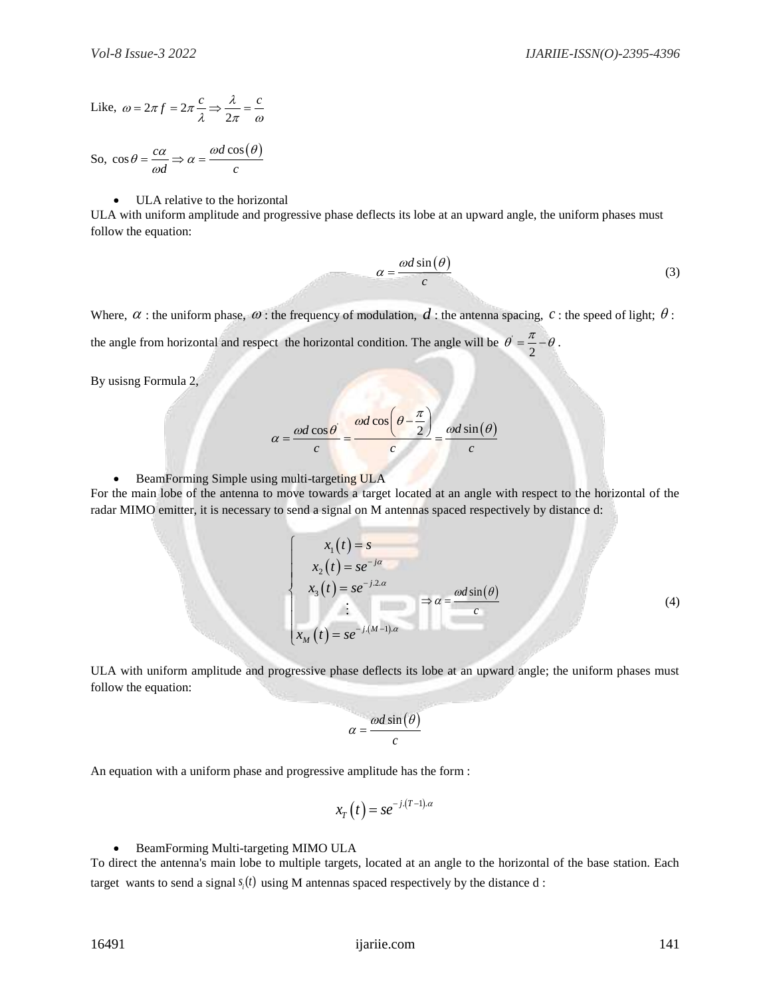Like, 
$$
\omega = 2\pi f = 2\pi \frac{c}{\lambda} \Rightarrow \frac{\lambda}{2\pi} = \frac{c}{\omega}
$$

So,  $\cos \theta = \frac{c\alpha}{\alpha} \Rightarrow \alpha = \frac{\omega d \cos(\theta)}{\alpha}$  $\overrightarrow{d} \Rightarrow \alpha = \cfrac{c}{c}$  $heta = \frac{c\alpha}{\omega d} \Rightarrow \alpha = \frac{\omega d \cos(\theta)}{c}$ 

#### ULA relative to the horizontal

ULA with uniform amplitude and progressive phase deflects its lobe at an upward angle, the uniform phases must follow the equation:

$$
\alpha = \frac{\omega d \sin(\theta)}{c} \tag{3}
$$

Where,  $\alpha$ : the uniform phase,  $\omega$ : the frequency of modulation,  $d$ : the antenna spacing,  $c$ : the speed of light;  $\theta$ :

the angle from horizontal and respect the horizontal condition. The angle will be  $\theta = \frac{\pi}{2}$  $\theta = \frac{\pi}{2} - \theta$ .

By usisng Formula 2,

$$
\alpha = \frac{\omega d \cos \theta}{c} = \frac{\omega d \cos \left(\theta - \frac{\pi}{2}\right)}{c} = \frac{\omega d \sin \left(\theta\right)}{c}
$$

• BeamForming Simple using multi-targeting ULA

For the main lobe of the antenna to move towards a target located at an angle with respect to the horizontal of the radar MIMO emitter, it is necessary to send a signal on M antennas spaced respectively by distance d:

$$
\begin{cases}\n x_1(t) = s \\
 x_2(t) = se^{-j\alpha} \\
 x_3(t) = se^{-j2\alpha} \\
 \vdots \\
 x_M(t) = se^{-j(M-1)\alpha}\n\end{cases} \Rightarrow \alpha = \frac{\omega d \sin(\theta)}{c}
$$
\n(4)

ULA with uniform amplitude and progressive phase deflects its lobe at an upward angle; the uniform phases must follow the equation:

$$
\alpha = \frac{\omega d \sin(\theta)}{c}
$$

An equation with a uniform phase and progressive amplitude has the form :

$$
x_T(t) = s e^{-j.(T-1).a}
$$

BeamForming Multi-targeting MIMO ULA

To direct the antenna's main lobe to multiple targets, located at an angle to the horizontal of the base station. Each target wants to send a signal  $s_i(t)$  using M antennas spaced respectively by the distance  $d$ :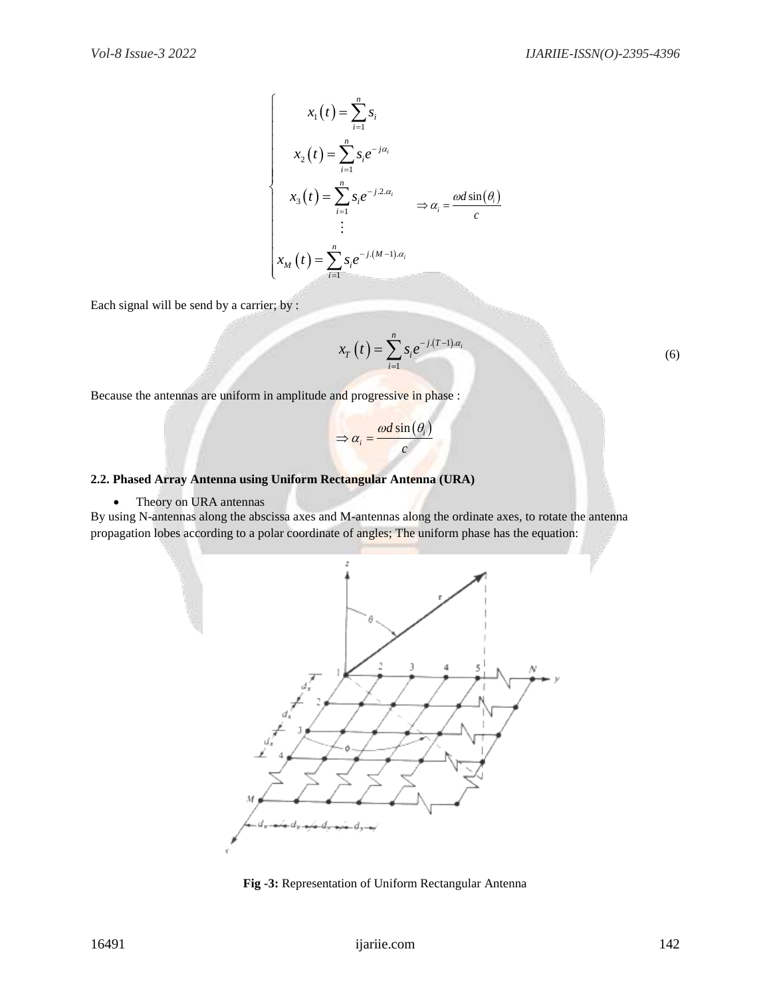$$
x_1(t) = \sum_{i=1}^n s_i
$$
  
\n
$$
x_2(t) = \sum_{i=1}^n s_i e^{-j\alpha_i}
$$
  
\n
$$
x_3(t) = \sum_{i=1}^n s_i e^{-j2\alpha_i}
$$
  
\n
$$
\Rightarrow \alpha_i = \frac{\omega d \sin(\theta_i)}{c}
$$
  
\n
$$
\vdots
$$
  
\n
$$
x_M(t) = \sum_{i=1}^n s_i e^{-j(M-1)\alpha_i}
$$

Each signal will be send by a carrier; by :

$$
x_T(t) = \sum_{i=1}^n s_i e^{-j(T-1)\alpha_i}
$$
 (6)

Because the antennas are uniform in amplitude and progressive in phase :

$$
\Rightarrow \alpha_i = \frac{\omega d \sin(\theta_i)}{c}
$$

#### **2.2. Phased Array Antenna using Uniform Rectangular Antenna (URA)**

• Theory on URA antennas

By using N-antennas along the abscissa axes and M-antennas along the ordinate axes, to rotate the antenna propagation lobes according to a polar coordinate of angles; The uniform phase has the equation:



**Fig -3:** Representation of Uniform Rectangular Antenna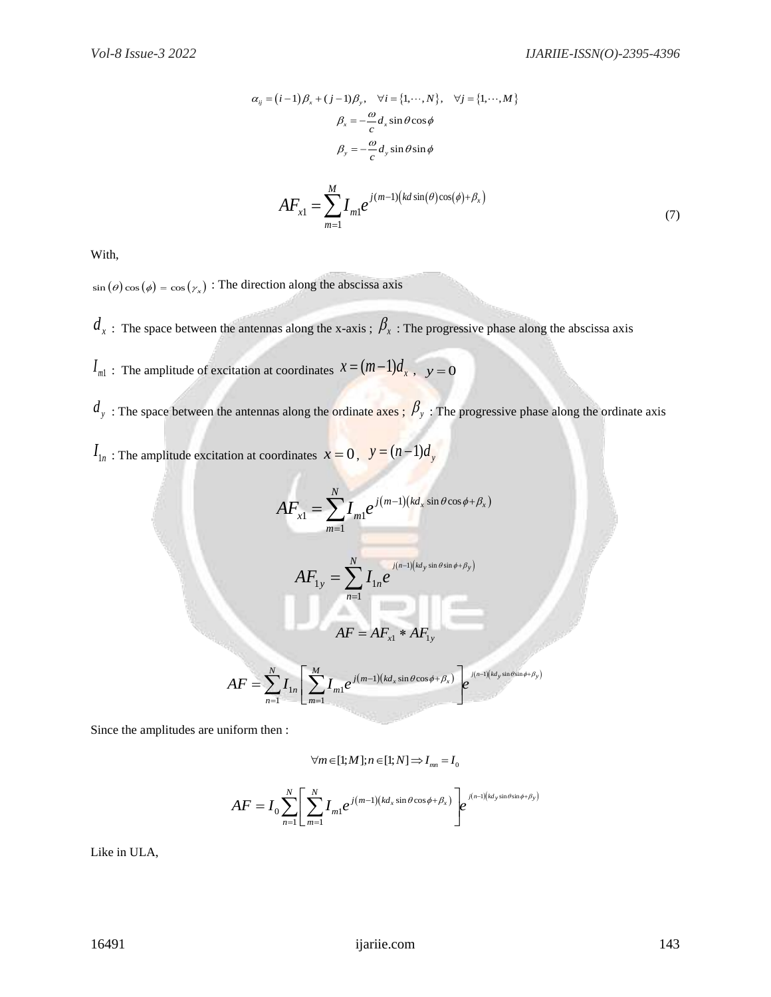$$
\alpha_{ij} = (i-1)\beta_x + (j-1)\beta_y, \quad \forall i = \{1, \cdots, N\}, \quad \forall j = \{1, \cdots, M\}
$$

$$
\beta_x = -\frac{\omega}{c} d_x \sin \theta \cos \phi
$$

$$
\beta_y = -\frac{\omega}{c} d_y \sin \theta \sin \phi
$$

$$
AF_{x1} = \sum_{i=1}^{M} I_{m1} e^{j(m-1)\left(kd \sin(\theta)\cos(\phi) + \beta_x\right)}
$$
(7)

With,

 $\sin (\theta) \cos (\phi) = \cos (\gamma_x)$ : The direction along the abscissa axis

 $d_x$ : The space between the antennas along the x-axis ;  $\beta_x$  : The progressive phase along the abscissa axis

1

*m*

- $I_{m1}$ : The amplitude of excitation at coordinates  $x = (m-1)d_x$ ,  $y = 0$
- $d_y$ : The space between the antennas along the ordinate axes;  $\beta_y$ : The progressive phase along the ordinate axis
- $I_{1n}$ : The amplitude excitation at coordinates  $x = 0$ ,  $y = (n-1)d_y$

$$
AF_{x1} = \sum_{m=1}^{N} I_{m1} e^{j(m-1)(kd_{x} \sin \theta \cos \phi + \beta_{x})}
$$
  

$$
AF_{1y} = \sum_{n=1}^{N} I_{1n} e^{j(n-1)(kd_{y} \sin \theta \sin \phi + \beta_{y})}
$$
  

$$
AF = AF_{x1} * AF_{1y}
$$
  

$$
AF = \sum_{n=1}^{N} I_{1n} \left[ \sum_{m=1}^{M} I_{m1} e^{j(m-1)(kd_{x} \sin \theta \cos \phi + \beta_{x})} \right] e^{j(n-1)(kd_{y} \sin \theta \sin \phi + \beta_{y})}
$$

Since the amplitudes are uniform then :

$$
\forall m \in [1; M]; n \in [1; N] \Longrightarrow I_{mn} = I_0
$$

$$
\forall m \in [1; M]; n \in [1; N] \Rightarrow I_{mn} = I_0
$$
  

$$
AF = I_0 \sum_{n=1}^{N} \left[ \sum_{m=1}^{N} I_{m1} e^{j(m-1)(kd_x \sin \theta \cos \phi + \beta_x)} \right] e^{j(n-1)(kd_y \sin \theta \sin \phi + \beta_y)}
$$

Like in ULA,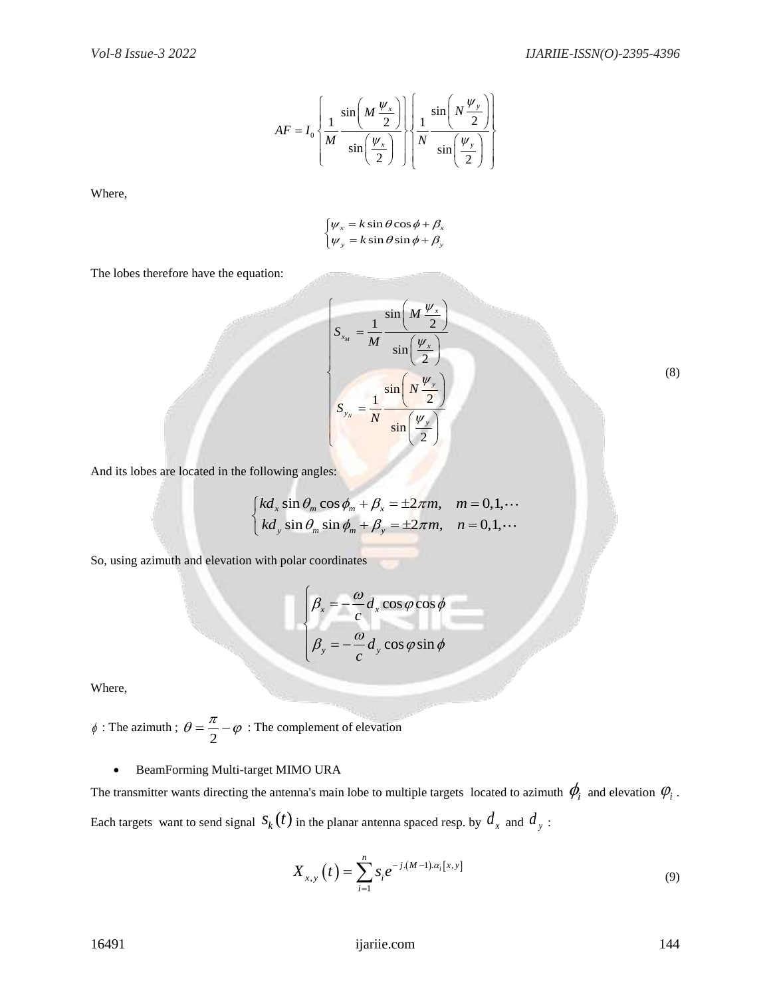$$
AF = I_0 \left\{ \frac{1}{M} \frac{\sin\left(M \frac{\psi_x}{2}\right)}{\sin\left(\frac{\psi_x}{2}\right)} \right\} \left\{ \frac{1}{N} \frac{\sin\left(N \frac{\psi_y}{2}\right)}{\sin\left(\frac{\psi_y}{2}\right)} \right\}
$$

Where,

$$
\begin{cases} \psi_x = k \sin \theta \cos \phi + \beta_x \\ \psi_y = k \sin \theta \sin \phi + \beta_y \end{cases}
$$

The lobes therefore have the equation:

$$
S_{x_M} = \frac{1}{M} \frac{\sin\left(M\frac{\psi_x}{2}\right)}{\sin\left(\frac{\psi_x}{2}\right)}
$$

$$
S_{y_N} = \frac{1}{N} \frac{\sin\left(N\frac{\psi_y}{2}\right)}{\sin\left(\frac{\psi_y}{2}\right)}
$$

(8)

And its lobes are located in the following angles:

Conowning angles:

\n
$$
\begin{cases}\nkd_x \sin \theta_m \cos \phi_m + \beta_x = \pm 2\pi m, & m = 0, 1, \cdots \\
kd_y \sin \theta_m \sin \phi_m + \beta_y = \pm 2\pi m, & n = 0, 1, \cdots\n\end{cases}
$$

So, using azimuth and elevation with polar coordinates

$$
\beta_x = -\frac{\omega}{c} d_x \cos \varphi \cos \phi
$$
  

$$
\beta_y = -\frac{\omega}{c} d_y \cos \varphi \sin \phi
$$

Where,

 $\phi$ : The azimuth;  $\theta = \frac{\pi}{2}$  $\theta = \frac{\pi}{2} - \varphi$ : The complement of elevation

#### BeamForming Multi-target MIMO URA

The transmitter wants directing the antenna's main lobe to multiple targets located to azimuth  $\phi_i$  and elevation  $\phi_i$  . Each targets want to send signal  $s_k(t)$  in the planar antenna spaced resp. by  $d_x$  and  $d_y$ :

$$
X_{x,y}\left(t\right) = \sum_{i=1}^{n} s_i e^{-j.(M-1).a_i[x,y]}
$$
\n(9)

16491 ijariie.com 144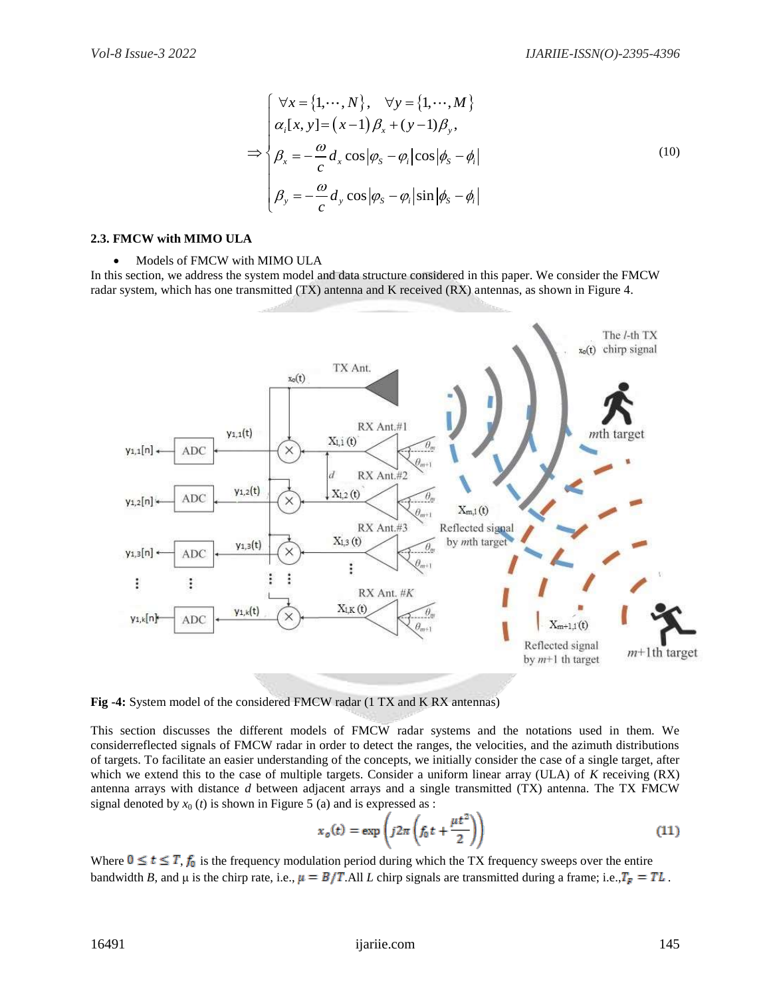$$
\Rightarrow \begin{cases}\n\forall x = \{1, \cdots, N\}, & \forall y = \{1, \cdots, M\} \\
\alpha_i[x, y] = (x - 1)\beta_x + (y - 1)\beta_y, \\
\beta_x = -\frac{\omega}{c} d_x \cos |\varphi_s - \varphi_i| \cos |\phi_s - \phi_i| \\
\beta_y = -\frac{\omega}{c} d_y \cos |\varphi_s - \varphi_i| \sin |\phi_s - \phi_i|\n\end{cases}
$$
\n(10)

#### **2.3. FMCW with MIMO ULA**

#### • Models of FMCW with MIMO ULA

In this section, we address the system model and data structure considered in this paper. We consider the FMCW radar system, which has one transmitted (TX) antenna and K received (RX) antennas, as shown in Figure 4.



**Fig -4:** System model of the considered FMCW radar (1 TX and K RX antennas)

This section discusses the different models of FMCW radar systems and the notations used in them. We considerreflected signals of FMCW radar in order to detect the ranges, the velocities, and the azimuth distributions of targets. To facilitate an easier understanding of the concepts, we initially consider the case of a single target, after which we extend this to the case of multiple targets. Consider a uniform linear array (ULA) of *K* receiving (RX) antenna arrays with distance *d* between adjacent arrays and a single transmitted (TX) antenna. The TX FMCW signal denoted by  $x_0(t)$  is shown in Figure 5 (a) and is expressed as :

$$
x_o(t) = \exp\left(j2\pi\left(f_0 t + \frac{\mu t^2}{2}\right)\right)
$$
 (11)

Where  $0 \le t \le T$ ,  $f_0$  is the frequency modulation period during which the TX frequency sweeps over the entire bandwidth *B*, and  $\mu$  is the chirp rate, i.e.,  $\mu = B/T$ . All *L* chirp signals are transmitted during a frame; i.e.,  $T_F = TL$ .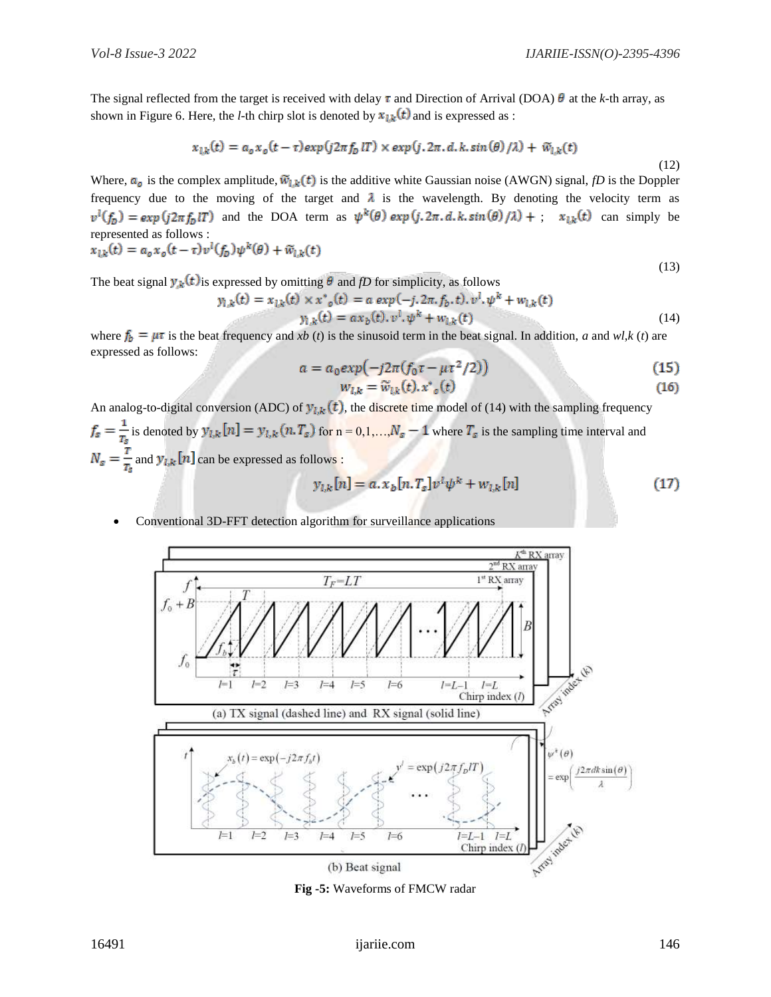The signal reflected from the target is received with delay  $\tau$  and Direction of Arrival (DOA)  $\theta$  at the *k*-th array, as shown in Figure 6. Here, the *l*-th chirp slot is denoted by  $x_{1k}(t)$  and is expressed as :

$$
x_{l,k}(t) = a_o x_o(t-\tau) exp(j2\pi f_D lT) \times exp(j.2\pi.d.k,sin(\theta)/\lambda) + \widetilde{w}_{l,k}(t)
$$

$$
(12)
$$

(13)

Where,  $a_0$  is the complex amplitude,  $\widetilde{w}_{l,k}(t)$  is the additive white Gaussian noise (AWGN) signal, *fD* is the Doppler frequency due to the moving of the target and  $\lambda$  is the wavelength. By denoting the velocity term as  $v^{i}(f_{p}) = exp(j2\pi f_{p}T)$  and the DOA term as  $\psi^{k}(\theta) exp(j.2\pi.d.k,sin(\theta)/\lambda) +$ ;  $x_{1k}(t)$  can simply be represented as follows :

$$
x_{l,k}(t) = a_o x_o(t-\tau) v^l(f_D) \psi^k(\theta) + \widetilde{w}_{l,k}(t)
$$

The beat signal  $y_k(t)$  is expressed by omitting  $\theta$  and *fD* for simplicity, as follows

$$
y_{l,k}(t) = x_{l,k}(t) \times x^*_{o}(t) = a \exp(-j.2\pi.f_{b}, t). \dot{v}^{l}, \psi^{k} + w_{l,k}(t)
$$
  

$$
y_{l,k}(t) = a x_{b}(t). \dot{v}^{l}, \psi^{k} + w_{l,k}(t)
$$
 (14)

where  $f_b = \mu \tau$  is the beat frequency and *xb (t)* is the sinusoid term in the beat signal. In addition, *a* and *wl,k (t)* are expressed as follows:

$$
a = a_0 \exp\left(-j2\pi (f_0 \tau - \mu \tau^2 / 2)\right) \tag{15}
$$

$$
w_{l,k} = \widetilde{w}_{l,k}(t), x^*_{o}(t) \tag{16}
$$

An analog-to-digital conversion (ADC) of  $y_{l,k}(t)$ , the discrete time model of (14) with the sampling frequency  $f_s = \frac{1}{T_s}$  is denoted by  $y_{l,k}[n] = y_{l,k}(n, T_s)$  for  $n = 0, 1, ..., N_s - 1$  where  $T_s$  is the sampling time interval and  $N_s = \frac{r}{T_s}$  and  $y_{l,k}[n]$  can be expressed as follows :

$$
y_{l,k}[n] = a. x_b[n. T_s]v^l \psi^k + w_{l,k}[n]
$$
 (17)

Conventional 3D-FFT detection algorithm for surveillance applications



**Fig -5:** Waveforms of FMCW radar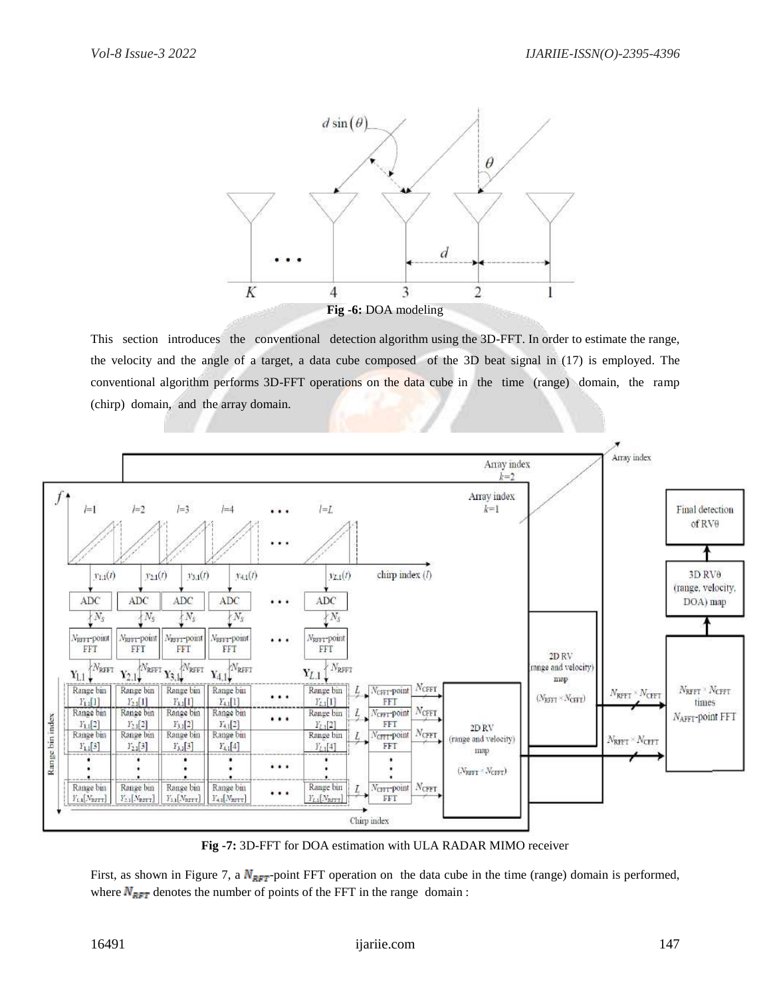

This section introduces the conventional detection algorithm using the 3D-FFT. In order to estimate the range, the velocity and the angle of a target, a data cube composed of the 3D beat signal in (17) is employed. The conventional algorithm performs 3D-FFT operations on the data cube in the time (range) domain, the ramp (chirp) domain, and the array domain.



**Fig -7:** 3D-FFT for DOA estimation with ULA RADAR MIMO receiver

First, as shown in Figure 7, a  $N_{RFT}$ -point FFT operation on the data cube in the time (range) domain is performed, where  $N_{\text{RFT}}$  denotes the number of points of the FFT in the range domain :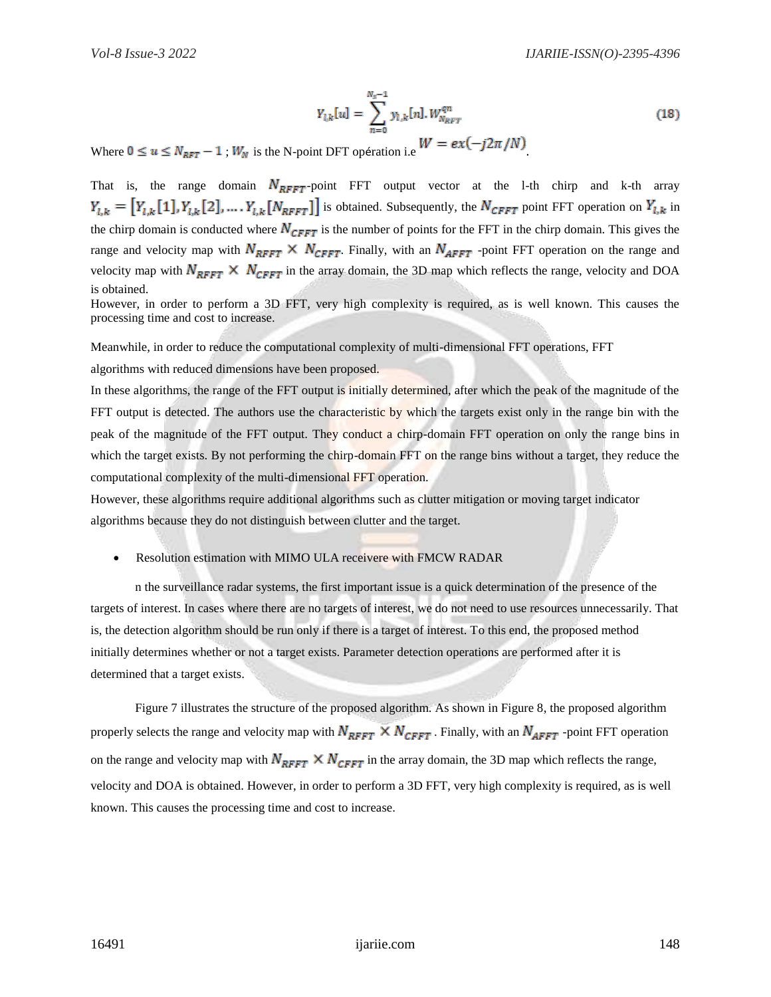$$
Y_{l,k}[u] = \sum_{n=0}^{N_s - 1} y_{l,k}[n] \cdot W_{N_{RFT}}^{qn}
$$
\n
$$
W = e^{\gamma \left( -i \, 2\pi / N \right)}
$$
\n(18)

Where  $0 \le u \le N_{RFT} - 1$ ;  $W_N$  is the N-point DFT opération i.e  $W = ex(-J2\pi/N)$ .

That is, the range domain  $N_{RFFT}$ -point FFT output vector at the l-th chirp and k-th array  $Y_{l,k} = [Y_{l,k}[1], Y_{l,k}[2], \dots, Y_{l,k}[N_{RFFT}]]$  is obtained. Subsequently, the  $N_{CFFT}$  point FFT operation on  $Y_{l,k}$  in the chirp domain is conducted where  $N_{CFFT}$  is the number of points for the FFT in the chirp domain. This gives the range and velocity map with  $N_{RFFT} \times N_{CFFT}$ . Finally, with an  $N_{AFFT}$  -point FFT operation on the range and velocity map with  $N_{RFFT} \times N_{CFFT}$  in the array domain, the 3D map which reflects the range, velocity and DOA is obtained.

However, in order to perform a 3D FFT, very high complexity is required, as is well known. This causes the processing time and cost to increase.

Meanwhile, in order to reduce the computational complexity of multi-dimensional FFT operations, FFT

algorithms with reduced dimensions have been proposed.

In these algorithms, the range of the FFT output is initially determined, after which the peak of the magnitude of the FFT output is detected. The authors use the characteristic by which the targets exist only in the range bin with the peak of the magnitude of the FFT output. They conduct a chirp-domain FFT operation on only the range bins in which the target exists. By not performing the chirp-domain FFT on the range bins without a target, they reduce the computational complexity of the multi-dimensional FFT operation.

However, these algorithms require additional algorithms such as clutter mitigation or moving target indicator algorithms because they do not distinguish between clutter and the target.

Resolution estimation with MIMO ULA receivere with FMCW RADAR

n the surveillance radar systems, the first important issue is a quick determination of the presence of the targets of interest. In cases where there are no targets of interest, we do not need to use resources unnecessarily. That is, the detection algorithm should be run only if there is a target of interest. To this end, the proposed method initially determines whether or not a target exists. Parameter detection operations are performed after it is determined that a target exists.

Figure 7 illustrates the structure of the proposed algorithm. As shown in Figure 8, the proposed algorithm properly selects the range and velocity map with  $N_{RFFT} \times N_{CFFT}$ . Finally, with an  $N_{AFFT}$ -point FFT operation on the range and velocity map with  $N_{RFFT} \times N_{CFFT}$  in the array domain, the 3D map which reflects the range, velocity and DOA is obtained. However, in order to perform a 3D FFT, very high complexity is required, as is well known. This causes the processing time and cost to increase.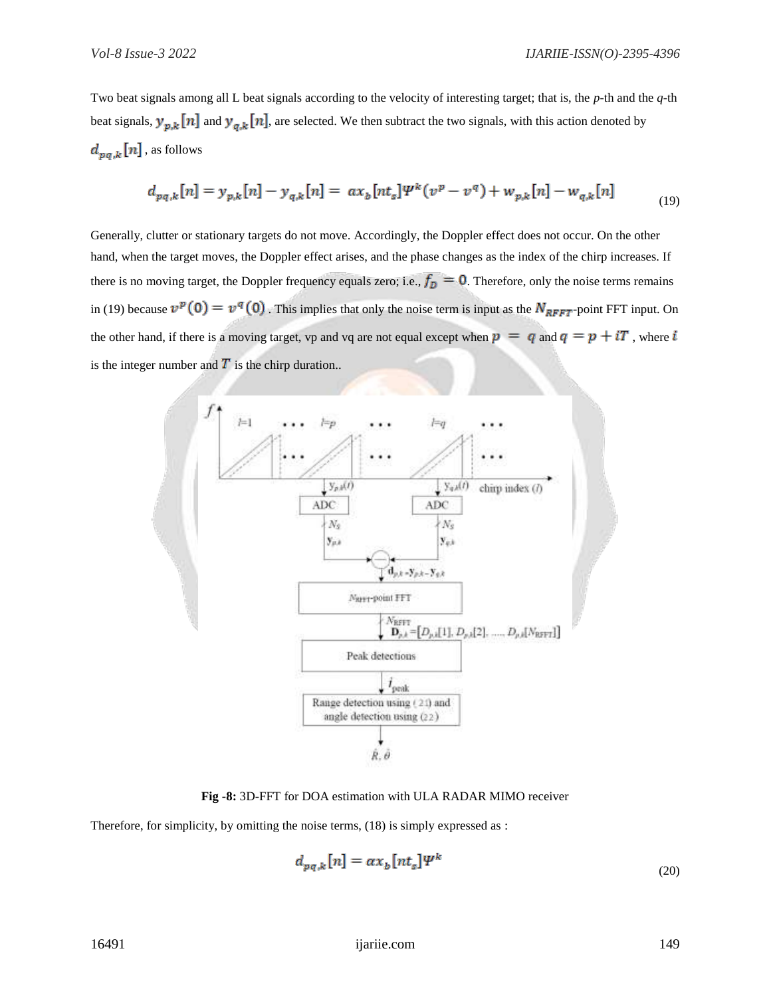Two beat signals among all L beat signals according to the velocity of interesting target; that is, the *p*-th and the *q*-th beat signals,  $y_{p,k}[n]$  and  $y_{q,k}[n]$ , are selected. We then subtract the two signals, with this action denoted by  $d_{pq,k}[n]$ , as follows

$$
d_{pq,k}[n] = y_{p,k}[n] - y_{q,k}[n] = ax_b[nt_s]\Psi^k(v^p - v^q) + w_{p,k}[n] - w_{q,k}[n] \tag{19}
$$

Generally, clutter or stationary targets do not move. Accordingly, the Doppler effect does not occur. On the other hand, when the target moves, the Doppler effect arises, and the phase changes as the index of the chirp increases. If there is no moving target, the Doppler frequency equals zero; i.e.,  $f_D = 0$ . Therefore, only the noise terms remains in (19) because  $v^p(0) = v^q(0)$ . This implies that only the noise term is input as the  $N_{RFFT}$ -point FFT input. On the other hand, if there is a moving target, vp and vq are not equal except when  $p = q$  and  $q = p + iT$ , where i is the integer number and  $\overline{T}$  is the chirp duration..



**Fig -8:** 3D-FFT for DOA estimation with ULA RADAR MIMO receiver

Therefore, for simplicity, by omitting the noise terms, (18) is simply expressed as :

$$
d_{pq,k}[n] = \alpha x_b [nt_s] \Psi^k \tag{20}
$$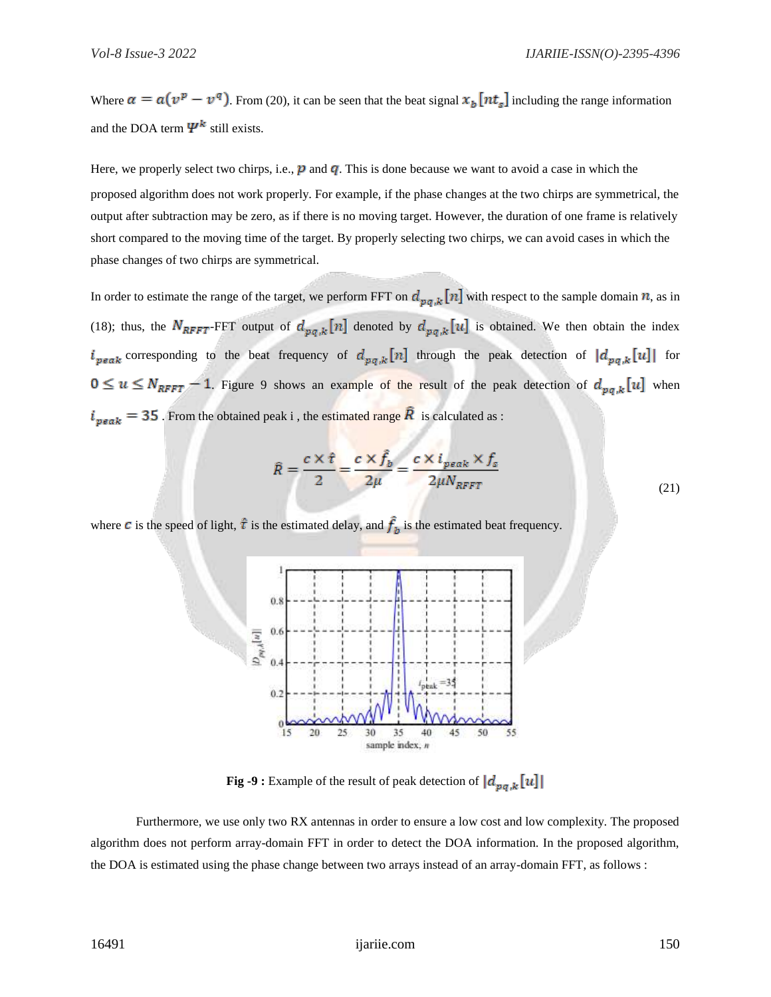Where  $\alpha = a(v^p - v^q)$ . From (20), it can be seen that the beat signal  $x_b[nt_s]$  including the range information and the DOA term  $\Psi^k$  still exists.

Here, we properly select two chirps, i.e.,  $p$  and  $q$ . This is done because we want to avoid a case in which the proposed algorithm does not work properly. For example, if the phase changes at the two chirps are symmetrical, the output after subtraction may be zero, as if there is no moving target. However, the duration of one frame is relatively short compared to the moving time of the target. By properly selecting two chirps, we can avoid cases in which the phase changes of two chirps are symmetrical.

In order to estimate the range of the target, we perform FFT on  $d_{pq,k}[n]$  with respect to the sample domain  $n$ , as in (18); thus, the  $N_{RFFT}$ -FFT output of  $d_{pq,k}[n]$  denoted by  $d_{pq,k}[u]$  is obtained. We then obtain the index  $i_{peak}$  corresponding to the beat frequency of  $d_{pq,k}[n]$  through the peak detection of  $|d_{pq,k}[u]|$  for  $0 \le u \le N_{RFFT} - 1$ . Figure 9 shows an example of the result of the peak detection of  $d_{p,q,k}[u]$  when  $i_{peak} = 35$ . From the obtained peak i, the estimated range  $\hat{R}$  is calculated as :

$$
\hat{R} = \frac{c \times \hat{\tau}}{2} = \frac{c \times \hat{f}_b}{2\mu} = \frac{c \times i_{peak} \times f_s}{2\mu N_{RFFT}}
$$
\n(21)

where **c** is the speed of light,  $\hat{\tau}$  is the estimated delay, and  $\hat{f}_h$  is the estimated beat frequency.



**Fig -9 :** Example of the result of peak detection of  $\left| d_{pa,k}[u] \right|$ 

Furthermore, we use only two RX antennas in order to ensure a low cost and low complexity. The proposed algorithm does not perform array-domain FFT in order to detect the DOA information. In the proposed algorithm, the DOA is estimated using the phase change between two arrays instead of an array-domain FFT, as follows :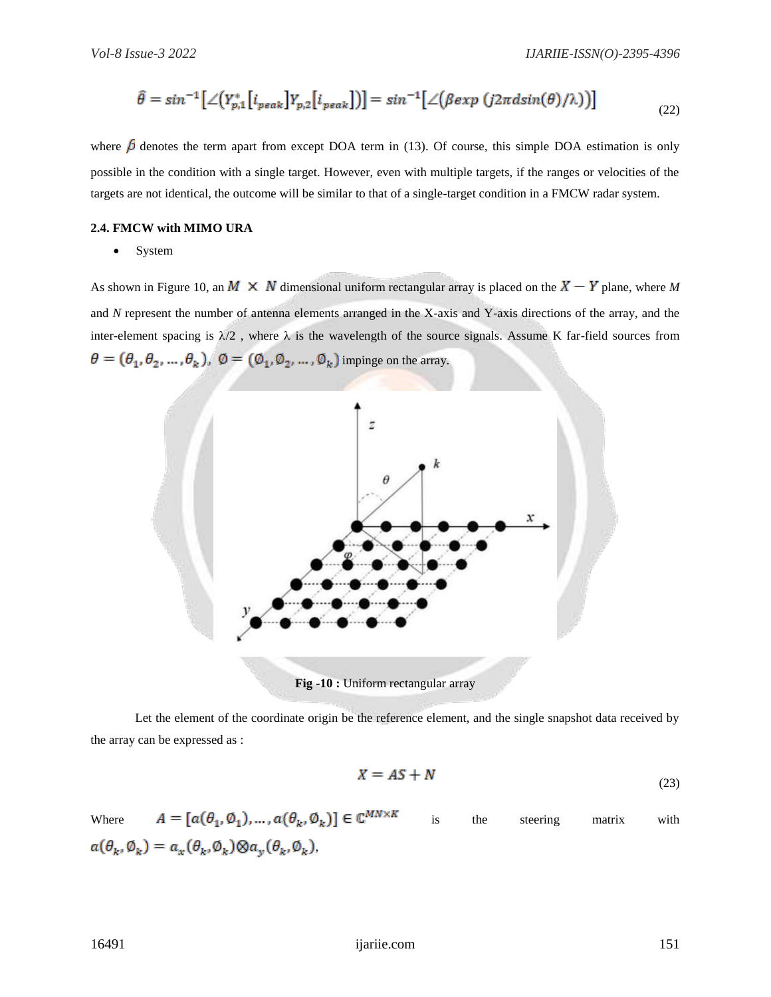$$
\hat{\theta} = \sin^{-1}\left[\angle\left(Y_{p,1}^*\left[i_{peak}\right]Y_{p,2}\left[i_{peak}\right]\right)\right] = \sin^{-1}\left[\angle\left(\beta \exp\left(j2\pi d \sin(\theta)/\lambda\right)\right)\right]
$$
(22)

where  $\beta$  denotes the term apart from except DOA term in (13). Of course, this simple DOA estimation is only possible in the condition with a single target. However, even with multiple targets, if the ranges or velocities of the targets are not identical, the outcome will be similar to that of a single-target condition in a FMCW radar system.

#### **2.4. FMCW with MIMO URA**

• System

As shown in Figure 10, an  $M \times N$  dimensional uniform rectangular array is placed on the  $X - Y$  plane, where M and *N* represent the number of antenna elements arranged in the X-axis and Y-axis directions of the array, and the inter-element spacing is  $\lambda/2$ , where  $\lambda$  is the wavelength of the source signals. Assume K far-field sources from  $\theta = (\theta_1, \theta_2, ..., \theta_k)$ ,  $\emptyset = (\emptyset_1, \emptyset_2, ..., \emptyset_k)$  impinge on the array.



Let the element of the coordinate origin be the reference element, and the single snapshot data received by the array can be expressed as :

$$
X = AS + N \tag{23}
$$

Where  $A = [a(\theta_1, \phi_1), ..., a(\theta_k, \phi_k)] \in \mathbb{C}^{MN \times K}$  is the steering matrix with  $a(\theta_k, \emptyset_k) = a_x(\theta_k, \emptyset_k) \otimes a_y(\theta_k, \emptyset_k),$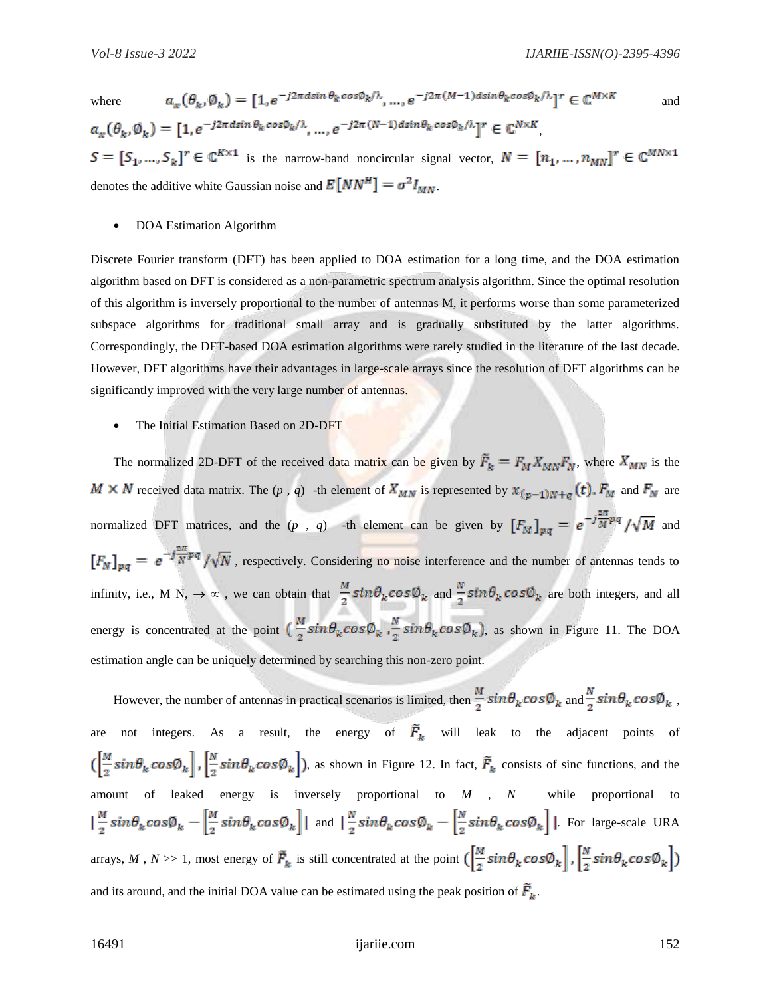where  $a_x(\theta_k, \emptyset_k) = [1, e^{-j2\pi d \sin \theta_k \cos \emptyset_k/\lambda}, \dots, e^{-j2\pi (M-1) d \sin \theta_k \cos \emptyset_k/\lambda}]^r \in \mathbb{C}^{M \times K}$  and  $a_{\nu}(\theta_{\nu}, \emptyset_{\nu}) = [1, e^{-j2\pi d sin \theta_k cos \phi_k/\lambda}, ..., e^{-j2\pi (N-1) ds in \theta_k cos \phi_k/\lambda}]^r \in \mathbb{C}^{N \times K}$  $S = [S_1, ..., S_k]^r \in \mathbb{C}^{K \times 1}$  is the narrow-band noncircular signal vector,  $N = [n_1, ..., n_{MN}]^r \in \mathbb{C}^{MN \times 1}$ denotes the additive white Gaussian noise and  $E[NN^H] = \sigma^2 I_{MN}$ .

DOA Estimation Algorithm

Discrete Fourier transform (DFT) has been applied to DOA estimation for a long time, and the DOA estimation algorithm based on DFT is considered as a non-parametric spectrum analysis algorithm. Since the optimal resolution of this algorithm is inversely proportional to the number of antennas M, it performs worse than some parameterized subspace algorithms for traditional small array and is gradually substituted by the latter algorithms. Correspondingly, the DFT-based DOA estimation algorithms were rarely studied in the literature of the last decade. However, DFT algorithms have their advantages in large-scale arrays since the resolution of DFT algorithms can be significantly improved with the very large number of antennas.

The Initial Estimation Based on 2D-DFT

The normalized 2D-DFT of the received data matrix can be given by  $\tilde{F}_k = F_M X_{MN} F_N$ , where  $X_{MN}$  is the  $M \times N$  received data matrix. The  $(p, q)$  -th element of  $X_{MN}$  is represented by  $x_{(p-1)N+q}(t)$ .  $F_M$  and  $F_N$  are normalized DFT matrices, and the  $(p, q)$  -th element can be given by  $[F_M]_{pq} = e^{-j\frac{2\pi}{M}pq}/\sqrt{M}$  and  $[F_N]_{nq} = e^{-j\frac{2\pi}{N}pq}/\sqrt{N}$ , respectively. Considering no noise interference and the number of antennas tends to infinity, i.e., M N,  $\rightarrow \infty$ , we can obtain that  $\frac{M}{2}sin\theta_k cos\theta_k$  and  $\frac{N}{2}sin\theta_k cos\theta_k$  are both integers, and all energy is concentrated at the point  $\left(\frac{M}{2}sin\theta_k cos\theta_k\right), \frac{N}{2}sin\theta_k cos\theta_k$ , as shown in Figure 11. The DOA estimation angle can be uniquely determined by searching this non-zero point.

However, the number of antennas in practical scenarios is limited, then  $\frac{M}{2}sin\theta_k cos\phi_k$  and  $\frac{N}{2}sin\theta_k cos\phi_k$ , are not integers. As a result, the energy of  $\tilde{F}_k$  will leak to the adjacent points of  $\left(\left[\frac{M}{2}sin\theta_k cos\theta_k\right], \left[\frac{N}{2}sin\theta_k cos\theta_k\right]\right)$ , as shown in Figure 12. In fact,  $\tilde{F}_k$  consists of sinc functions, and the amount of leaked energy is inversely proportional to *M , N* while proportional to  $\left|\frac{M}{2}sin\theta_k cos\theta_k - \left[\frac{M}{2}sin\theta_k cos\theta_k\right]\right|$  and  $\left|\frac{N}{2}sin\theta_k cos\theta_k - \left[\frac{N}{2}sin\theta_k cos\theta_k\right]\right|$ . For large-scale URA arrays, *M*, *N* >> 1, most energy of  $\tilde{F}_k$  is still concentrated at the point  $(\frac{M}{2}sin\theta_k cos\phi_k), \frac{N}{2}sin\theta_k cos\phi_k)$ and its around, and the initial DOA value can be estimated using the peak position of  $\vec{F}_k$ .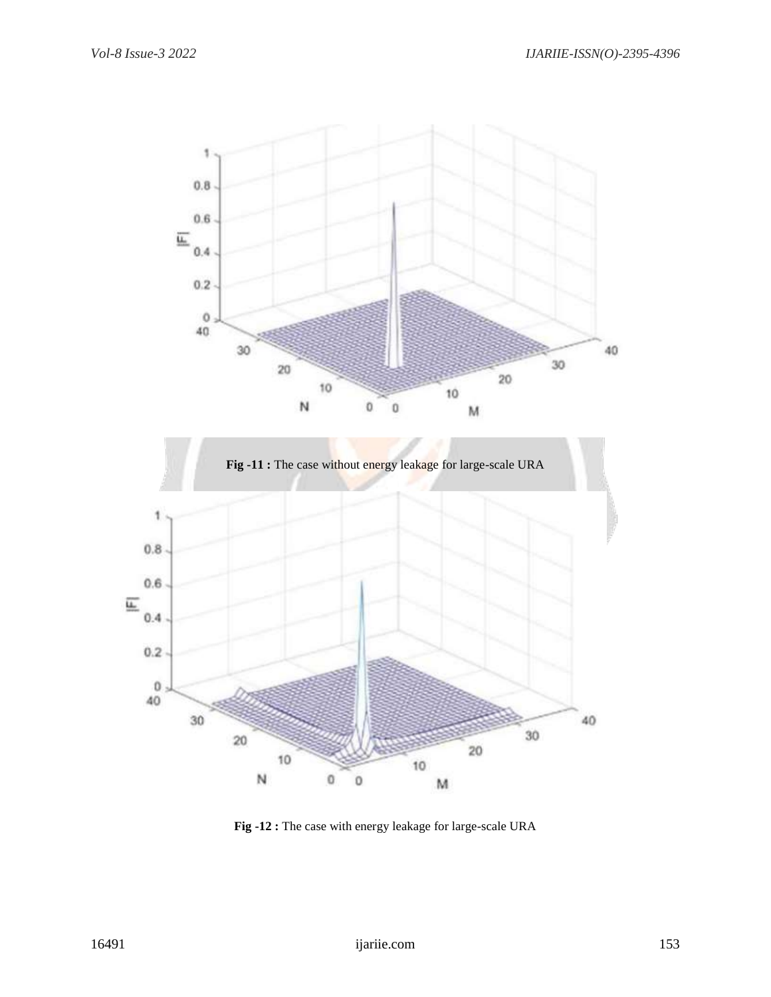

**Fig -12 :** The case with energy leakage for large-scale URA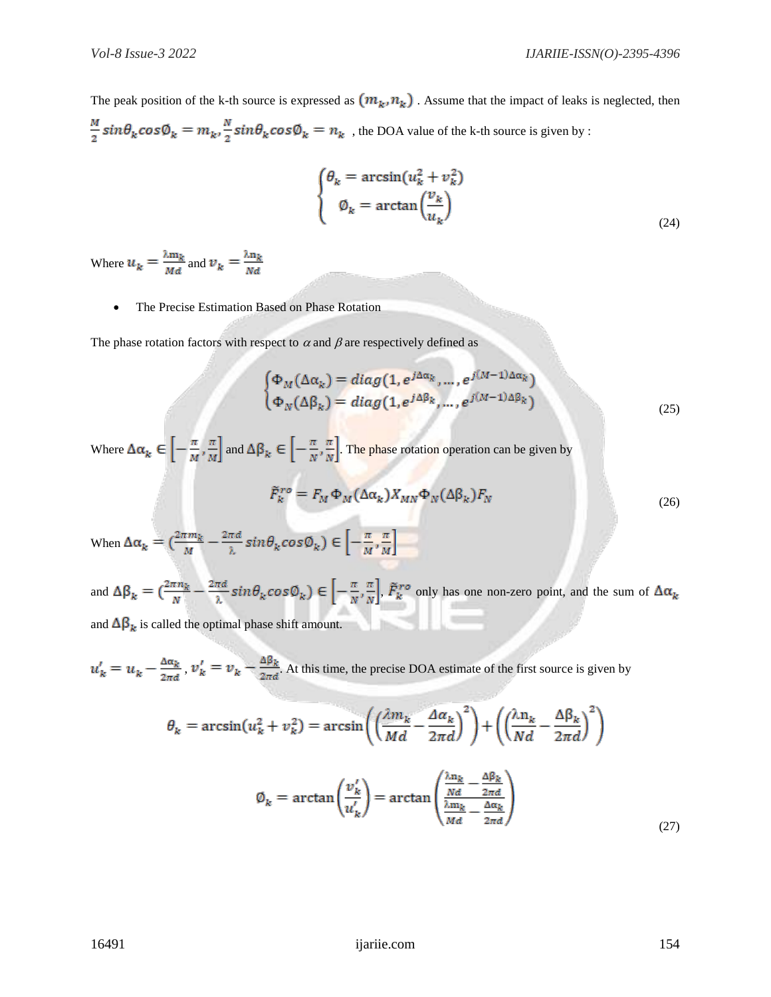The peak position of the k-th source is expressed as  $(m_k, n_k)$ . Assume that the impact of leaks is neglected, then  $\frac{M}{2}sin\theta_k cos\phi_k = m_k, \frac{N}{2}sin\theta_k cos\phi_k = n_k$ , the DOA value of the k-th source is given by :

$$
\begin{cases}\n\theta_k = \arcsin(u_k^2 + v_k^2) \\
\phi_k = \arctan\left(\frac{v_k}{u_k}\right)\n\end{cases}
$$
\n(24)

Where  $u_k = \frac{\lambda m_k}{Md}$  and  $v_k = \frac{\lambda n_k}{Nd}$ 

The Precise Estimation Based on Phase Rotation

The phase rotation factors with respect to  $\alpha$  and  $\beta$  are respectively defined as

$$
\begin{cases}\n\Phi_M(\Delta \alpha_k) = diag(1, e^{j\Delta \alpha_k}, \dots, e^{j(M-1)\Delta \alpha_k}) \\
\Phi_N(\Delta \beta_k) = diag(1, e^{j\Delta \beta_k}, \dots, e^{j(M-1)\Delta \beta_k})\n\end{cases}
$$
\n(25)

Where  $\Delta \alpha_k \in \left[ -\frac{\pi}{M}, \frac{\pi}{M} \right]$  and  $\Delta \beta_k \in \left[ -\frac{\pi}{N}, \frac{\pi}{N} \right]$ . The phase rotation operation can be given by

$$
\tilde{F}_k^{ro} = F_M \Phi_M(\Delta \alpha_k) X_{MN} \Phi_N(\Delta \beta_k) F_N
$$
\n(26)

When  $\Delta \alpha_k = \left(\frac{2\pi m_k}{M} - \frac{2\pi d}{\lambda} sin \theta_k cos \phi_k\right) \in \left[-\frac{\pi}{M}, \frac{\pi}{M}\right]$ 

and  $\Delta \beta_k = \left(\frac{2\pi n_k}{N} - \frac{2\pi d}{\lambda} sin \theta_k cos \phi_k\right) \in \left[-\frac{\pi}{N}, \frac{\pi}{N}\right], \tilde{F}_k^{ro}$  only has one non-zero point, and the sum of  $\Delta \alpha_k$ and  $\Delta \beta_k$  is called the optimal phase shift amount.

 $u'_k = u_k - \frac{\Delta \alpha_k}{2\pi d}$ ,  $v'_k = v_k - \frac{\Delta \beta_k}{2\pi d}$ . At this time, the precise DOA estimate of the first source is given by

$$
\theta_k = \arcsin(u_k^2 + v_k^2) = \arcsin\left(\left(\frac{\lambda m_k}{Md} - \frac{\Delta a_k}{2\pi d}\right)^2\right) + \left(\left(\frac{\lambda n_k}{Nd} - \frac{\Delta \beta_k}{2\pi d}\right)^2\right)
$$

$$
\emptyset_k = \arctan\left(\frac{v_k'}{u_k'}\right) = \arctan\left(\frac{\frac{\lambda n_k}{Nd} - \frac{\Delta \beta_k}{2\pi d}}{\frac{\lambda m_k}{Md} - \frac{\Delta \alpha_k}{2\pi d}}\right)
$$
(27)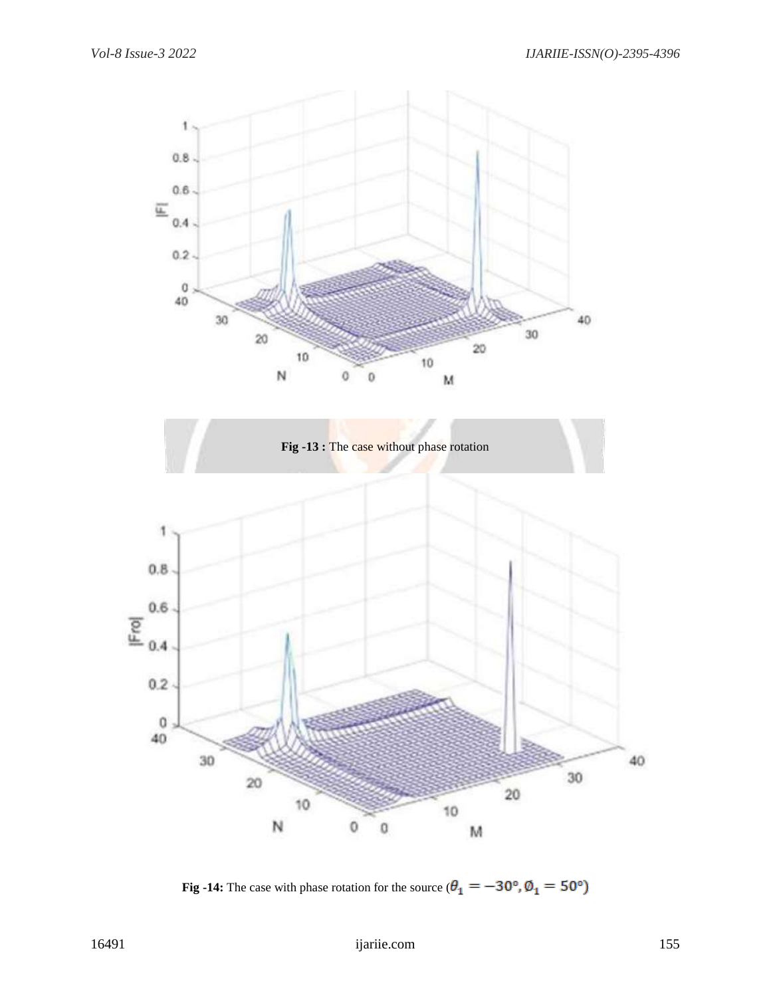

**Fig -14:** The case with phase rotation for the source ( $\theta_1 = -30^\circ$ ,  $\phi_1 = 50^\circ$ )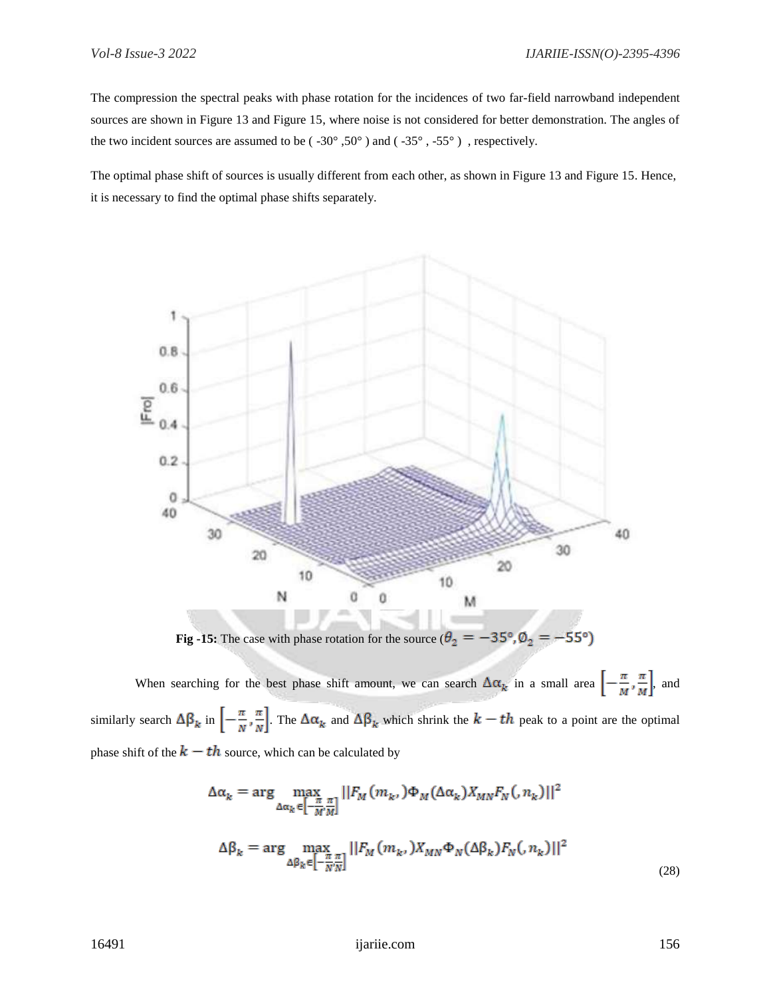The compression the spectral peaks with phase rotation for the incidences of two far-field narrowband independent sources are shown in Figure 13 and Figure 15, where noise is not considered for better demonstration. The angles of the two incident sources are assumed to be ( $-30^{\circ}$ ,  $50^{\circ}$ ) and ( $-35^{\circ}$ ,  $-55^{\circ}$ ), respectively.

The optimal phase shift of sources is usually different from each other, as shown in Figure 13 and Figure 15. Hence, it is necessary to find the optimal phase shifts separately.



**Fig -15:** The case with phase rotation for the source  $(\theta_2 = -35^\circ, \phi_2 = -55^\circ)$ 

When searching for the best phase shift amount, we can search  $\Delta \alpha_k$  in a small area  $\left[-\frac{\pi}{M}, \frac{\pi}{M}\right]$ , and similarly search  $\Delta \beta_k$  in  $\left[-\frac{\pi}{N}, \frac{\pi}{N}\right]$ . The  $\Delta \alpha_k$  and  $\Delta \beta_k$  which shrink the  $k-th$  peak to a point are the optimal phase shift of the  $k-th$  source, which can be calculated by

$$
\Delta \alpha_k = \arg \max_{\Delta \alpha_k \in \left[-\frac{\pi}{M'}\right] \atop \Delta \beta_k \in \left[-\frac{\pi}{N'}\right]} ||F_M(m_k, )\Phi_M(\Delta \alpha_k) X_{MN} F_N(n_k)||^2
$$
  

$$
\Delta \beta_k = \arg \max_{\Delta \beta_k \in \left[-\frac{\pi}{N'}\right] \atop \Delta \beta_k \in \left[-\frac{\pi}{N'}\right]} ||F_M(m_k, )X_{MN}\Phi_N(\Delta \beta_k) F_N(n_k) ||^2
$$
\n(28)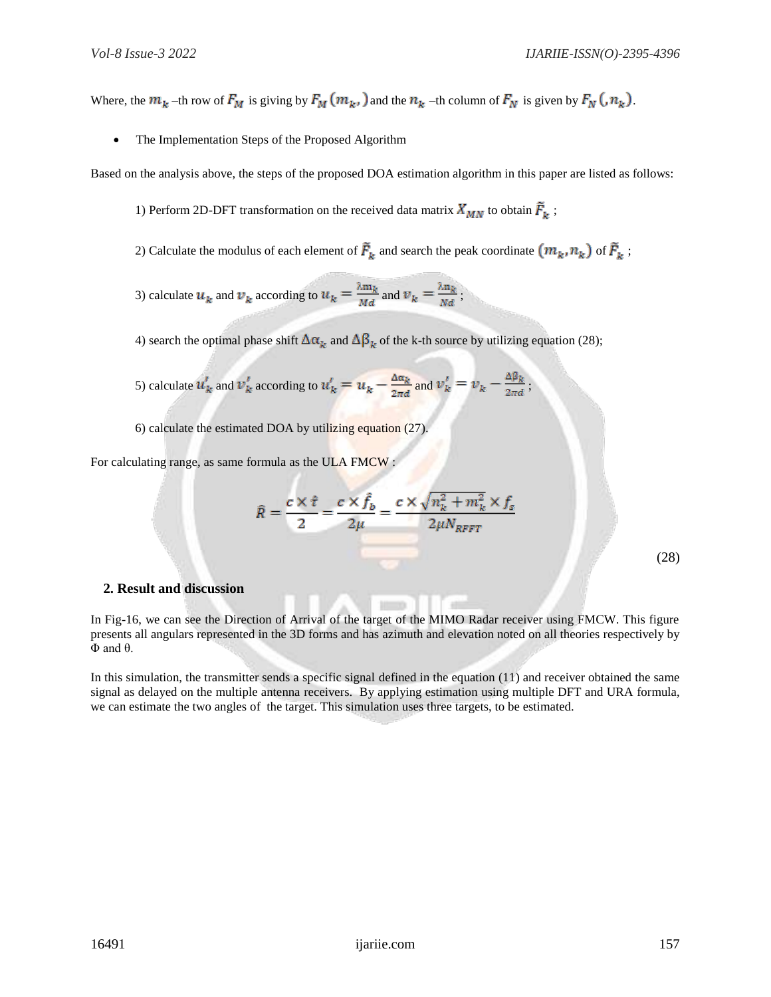Where, the  $m_k$  –th row of  $F_M$  is giving by  $F_M(m_k)$  and the  $n_k$  –th column of  $F_N$  is given by  $F_N(n_k)$ .

• The Implementation Steps of the Proposed Algorithm

Based on the analysis above, the steps of the proposed DOA estimation algorithm in this paper are listed as follows:

- 1) Perform 2D-DFT transformation on the received data matrix  $X_{MN}$  to obtain  $\vec{F}_k$ ;
- 2) Calculate the modulus of each element of  $\tilde{F}_k$  and search the peak coordinate  $(m_k, n_k)$  of  $\tilde{F}_k$ ;
- 3) calculate  $u_k$  and  $v_k$  according to  $u_k = \frac{\lambda m_k}{Md}$  and  $v_k = \frac{\lambda n_k}{Nd}$ ;

4) search the optimal phase shift  $\Delta \alpha_k$  and  $\Delta \beta_k$  of the k-th source by utilizing equation (28);

5) calculate 
$$
u'_k
$$
 and  $v'_k$  according to  $u'_k = u_k - \frac{\Delta \alpha_k}{2\pi d}$  and  $v'_k = v_k - \frac{\Delta \beta_k}{2\pi d}$ ;

6) calculate the estimated DOA by utilizing equation (27).

For calculating range, as same formula as the ULA FMCW

$$
\hat{R} = \frac{c \times \hat{r}}{2} = \frac{c \times \hat{f}_b}{2\mu} = \frac{c \times \sqrt{n_k^2 + m_k^2} \times f_s}{2\mu N_{RFFT}}
$$

(28)

#### **2. Result and discussion**

In Fig-16, we can see the Direction of Arrival of the target of the MIMO Radar receiver using FMCW. This figure presents all angulars represented in the 3D forms and has azimuth and elevation noted on all theories respectively by  $Φ$  and  $θ$ .

In this simulation, the transmitter sends a specific signal defined in the equation  $(11)$  and receiver obtained the same signal as delayed on the multiple antenna receivers. By applying estimation using multiple DFT and URA formula, we can estimate the two angles of the target. This simulation uses three targets, to be estimated.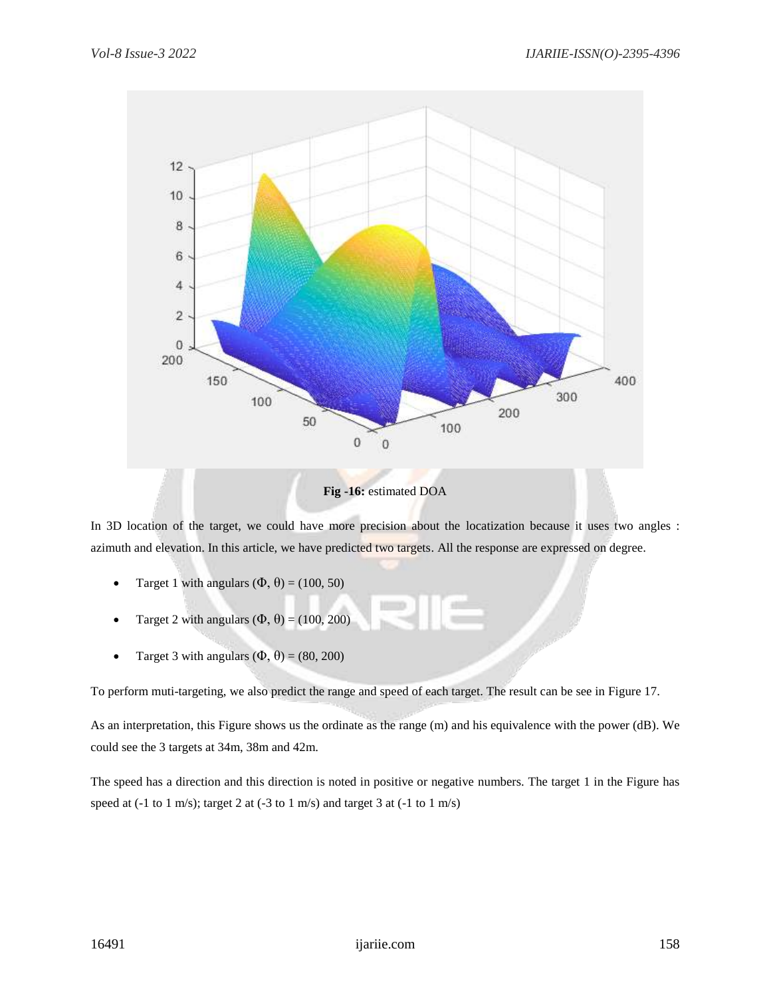

In 3D location of the target, we could have more precision about the locatization because it uses two angles : azimuth and elevation. In this article, we have predicted two targets. All the response are expressed on degree.

- Target 1 with angulars  $(\Phi, \theta) = (100, 50)$
- Target 2 with angulars  $(\Phi, \theta) = (100, 200)$
- Target 3 with angulars  $(\Phi, \theta) = (80, 200)$

To perform muti-targeting, we also predict the range and speed of each target. The result can be see in Figure 17.

As an interpretation, this Figure shows us the ordinate as the range (m) and his equivalence with the power (dB). We could see the 3 targets at 34m, 38m and 42m.

The speed has a direction and this direction is noted in positive or negative numbers. The target 1 in the Figure has speed at (-1 to 1 m/s); target 2 at (-3 to 1 m/s) and target 3 at (-1 to 1 m/s)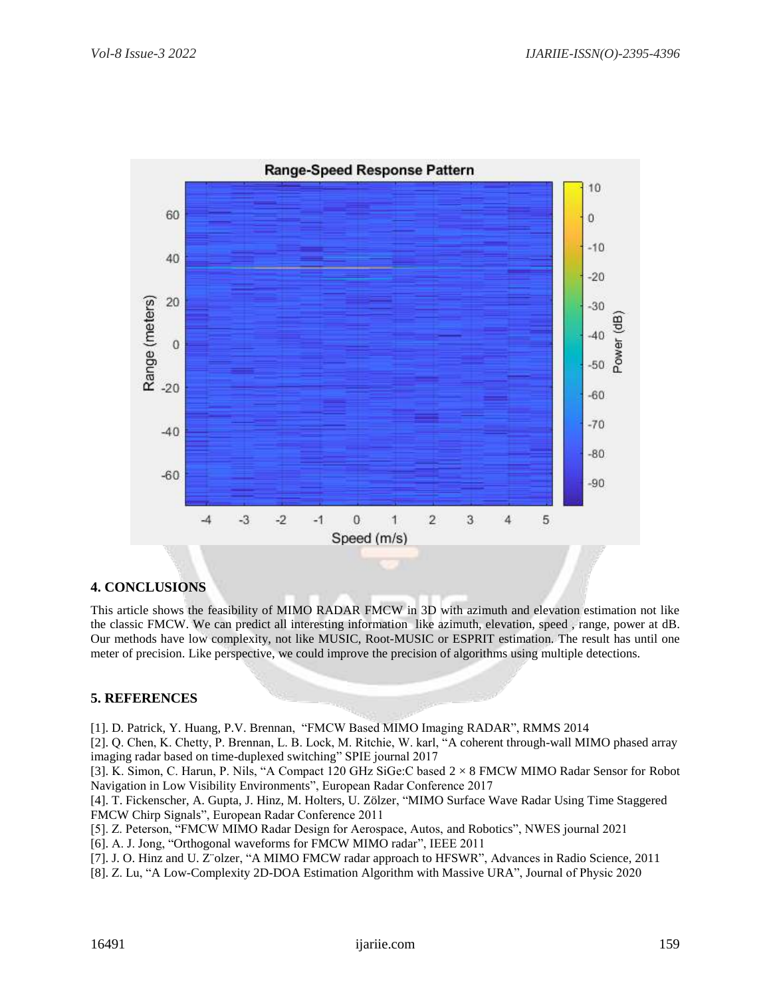

## **4. CONCLUSIONS**

This article shows the feasibility of MIMO RADAR FMCW in 3D with azimuth and elevation estimation not like the classic FMCW. We can predict all interesting information like azimuth, elevation, speed , range, power at dB. Our methods have low complexity, not like MUSIC, Root-MUSIC or ESPRIT estimation. The result has until one meter of precision. Like perspective, we could improve the precision of algorithms using multiple detections.

## **5. REFERENCES**

[1]. D. Patrick, Y. Huang, P.V. Brennan, "FMCW Based MIMO Imaging RADAR", RMMS 2014

[2]. Q. Chen, K. Chetty, P. Brennan, L. B. Lock, M. Ritchie, W. karl, "A coherent through-wall MIMO phased array imaging radar based on time-duplexed switching" SPIE journal 2017

[3]. K. Simon, C. Harun, P. Nils, "A Compact 120 GHz SiGe:C based 2 × 8 FMCW MIMO Radar Sensor for Robot Navigation in Low Visibility Environments", European Radar Conference 2017

[4]. T. Fickenscher, A. Gupta, J. Hinz, M. Holters, U. Zölzer, "MIMO Surface Wave Radar Using Time Staggered FMCW Chirp Signals", European Radar Conference 2011

[5]. Z. Peterson, "FMCW MIMO Radar Design for Aerospace, Autos, and Robotics", NWES journal 2021

[6]. A. J. Jong, "Orthogonal waveforms for FMCW MIMO radar", IEEE 2011

[7]. J. O. Hinz and U. Z¨olzer, "A MIMO FMCW radar approach to HFSWR", Advances in Radio Science, 2011

[8]. Z. Lu, "A Low-Complexity 2D-DOA Estimation Algorithm with Massive URA", Journal of Physic 2020